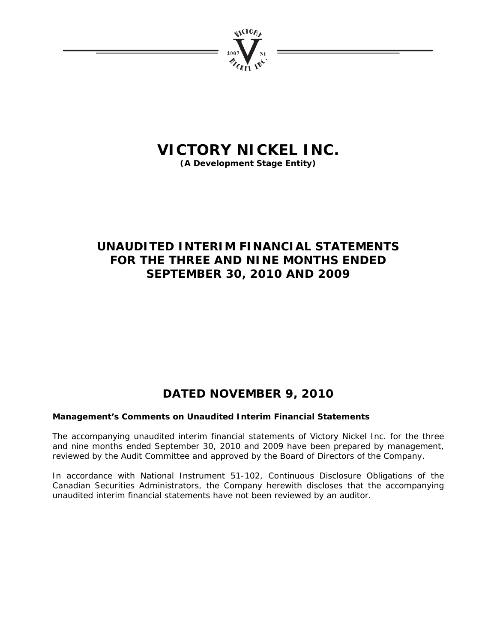

# **VICTORY NICKEL INC.**

**(A Development Stage Entity)** 

# **UNAUDITED INTERIM FINANCIAL STATEMENTS FOR THE THREE AND NINE MONTHS ENDED SEPTEMBER 30, 2010 AND 2009**

# **DATED NOVEMBER 9, 2010**

# **Management's Comments on Unaudited Interim Financial Statements**

The accompanying unaudited interim financial statements of Victory Nickel Inc. for the three and nine months ended September 30, 2010 and 2009 have been prepared by management, reviewed by the Audit Committee and approved by the Board of Directors of the Company.

In accordance with National Instrument 51-102, Continuous Disclosure Obligations of the Canadian Securities Administrators, the Company herewith discloses that the accompanying unaudited interim financial statements have not been reviewed by an auditor.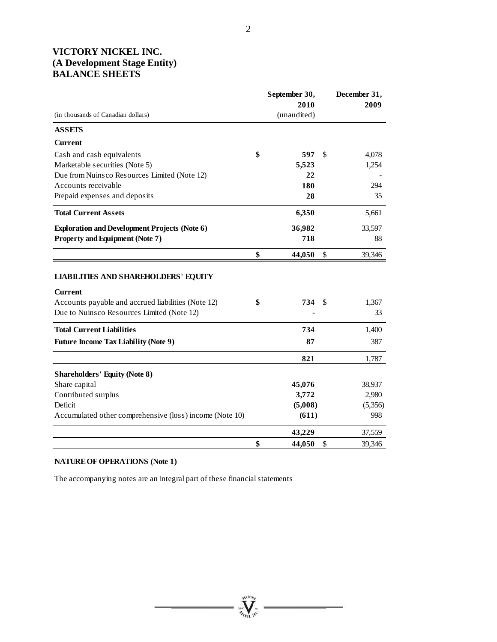# **VICTORY NICKEL INC. (A Development Stage Entity) BALANCE SHEETS**

|                                                                                                                                                            | September 30,<br>2010 |    | December 31,<br>2009 |
|------------------------------------------------------------------------------------------------------------------------------------------------------------|-----------------------|----|----------------------|
| (in thousands of Canadian dollars)                                                                                                                         | (unaudited)           |    |                      |
| <b>ASSETS</b>                                                                                                                                              |                       |    |                      |
| <b>Current</b>                                                                                                                                             |                       |    |                      |
| Cash and cash equivalents                                                                                                                                  | \$<br>597             | \$ | 4,078                |
| Marketable securities (Note 5)                                                                                                                             | 5,523                 |    | 1,254                |
| Due from Nuinsco Resources Limited (Note 12)                                                                                                               | 22                    |    |                      |
| Accounts receivable                                                                                                                                        | 180                   |    | 294                  |
| Prepaid expenses and deposits                                                                                                                              | 28                    |    | 35                   |
| <b>Total Current Assets</b>                                                                                                                                | 6,350                 |    | 5,661                |
| <b>Exploration and Development Projects (Note 6)</b>                                                                                                       | 36,982                |    | 33,597               |
| <b>Property and Equipment (Note 7)</b>                                                                                                                     | 718                   |    | 88                   |
|                                                                                                                                                            | \$<br>44,050          | \$ | 39,346               |
| <b>LIABILITIES AND SHAREHOLDERS' EQUITY</b><br>Current<br>Accounts payable and accrued liabilities (Note 12)<br>Due to Nuinsco Resources Limited (Note 12) | \$<br>734             | S  | 1,367<br>33          |
| <b>Total Current Liabilities</b>                                                                                                                           | 734                   |    | 1,400                |
| <b>Future Income Tax Liability (Note 9)</b>                                                                                                                | 87                    |    | 387                  |
|                                                                                                                                                            | 821                   |    | 1,787                |
| <b>Shareholders' Equity (Note 8)</b>                                                                                                                       |                       |    |                      |
| Share capital                                                                                                                                              | 45,076                |    | 38,937               |
| Contributed surplus                                                                                                                                        | 3,772                 |    | 2,980                |
| Deficit                                                                                                                                                    | (5,008)               |    | (5,356)              |
| Accumulated other comprehensive (loss) income (Note 10)                                                                                                    | (611)                 |    | 998                  |
|                                                                                                                                                            | 43,229                |    | 37,559               |
|                                                                                                                                                            | \$<br>44,050          | \$ | 39,346               |

 $= \prod_{\substack{\mathcal{P} \in \mathcal{P}(\mathcal{P}) \\ \mathcal{P} \neq \mathcal{P}(\mathcal{P})}}^{\mathcal{P}(\mathcal{P})} \mathcal{P}(\mathcal{P})$ 

# **NATURE OF OPERATIONS (Note 1)**

The accompanying notes are an integral part of these financial statements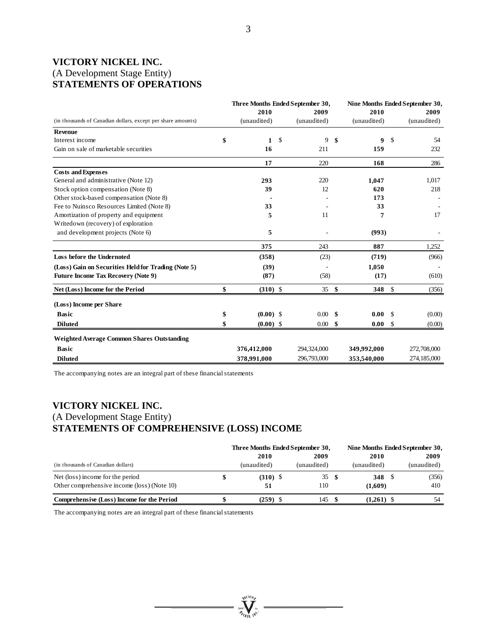# **VICTORY NICKEL INC.**  (A Development Stage Entity) **STATEMENTS OF OPERATIONS**

| Three Months Ended September 30, |    |                                                                   |          |                              | Nine Months Ended September 30, |                    |
|----------------------------------|----|-------------------------------------------------------------------|----------|------------------------------|---------------------------------|--------------------|
| 2010                             |    | 2009                                                              |          | 2010                         |                                 | 2009               |
| (unaudited)                      |    | (unaudited)                                                       |          | (unaudited)                  |                                 | (unaudited)        |
|                                  |    |                                                                   |          |                              |                                 |                    |
| 1                                | S. | 9                                                                 | -\$      | 9                            | -S                              | 54                 |
| 16                               |    | 211                                                               |          | 159                          |                                 | 232                |
| 17                               |    | 220                                                               |          | 168                          |                                 | 286                |
|                                  |    |                                                                   |          |                              |                                 |                    |
| 293                              |    | 220                                                               |          | 1,047                        |                                 | 1,017              |
| 39                               |    | 12                                                                |          | 620                          |                                 | 218                |
|                                  |    |                                                                   |          | 173                          |                                 |                    |
| 33                               |    |                                                                   |          | 33                           |                                 |                    |
| 5                                |    | 11                                                                |          | 7                            |                                 | 17                 |
|                                  |    |                                                                   |          |                              |                                 |                    |
| 5                                |    |                                                                   |          | (993)                        |                                 |                    |
| 375                              |    | 243                                                               |          | 887                          |                                 | 1,252              |
|                                  |    | (23)                                                              |          | (719)                        |                                 | (966)              |
|                                  |    |                                                                   |          | 1,050                        |                                 |                    |
|                                  |    | (58)                                                              |          | (17)                         |                                 | (610)              |
|                                  |    |                                                                   |          |                              |                                 | (356)              |
|                                  |    |                                                                   |          |                              |                                 |                    |
|                                  |    |                                                                   |          |                              |                                 | (0.00)             |
|                                  |    |                                                                   |          |                              |                                 |                    |
|                                  |    |                                                                   |          |                              |                                 | (0.00)             |
|                                  |    |                                                                   |          |                              |                                 |                    |
| 376,412,000                      |    | 294,324,000                                                       |          | 349,992,000                  |                                 | 272,708,000        |
| 378,991,000                      |    | 296,793,000                                                       |          | 353,540,000                  |                                 | 274,185,000        |
|                                  |    | (358)<br>(39)<br>(87)<br>$(310)$ \$<br>$(0.00)$ \$<br>$(0.00)$ \$ | $0.00\,$ | 35S<br>\$<br>$0.00\,$<br>-\$ | 0.00<br>0.00                    | 348 \$<br>S.<br>-S |

The accompanying notes are an integral part of these financial statements

# **VICTORY NICKEL INC.**  (A Development Stage Entity) **STATEMENTS OF COMPREHENSIVE (LOSS) INCOME**

|                                             |             | Three Months Ended September 30, |              | Nine Months Ended September 30, |  |  |  |
|---------------------------------------------|-------------|----------------------------------|--------------|---------------------------------|--|--|--|
|                                             | 2010        | 2009                             | 2010         | 2009                            |  |  |  |
| (in thousands of Canadian dollars)          | (unaudited) | (unaudited)                      | (unaudited)  | (unaudited)                     |  |  |  |
| Net (loss) income for the period            | $(310)$ \$  | 35                               | 348          | (356)                           |  |  |  |
| Other comprehensive income (loss) (Note 10) | 51          | 110                              | (1,609)      | 410                             |  |  |  |
| Comprehensive (Loss) Income for the Period  | $(259)$ \$  | 145                              | $(1,261)$ \$ | 54                              |  |  |  |

**William** 

The accompanying notes are an integral part of these financial statements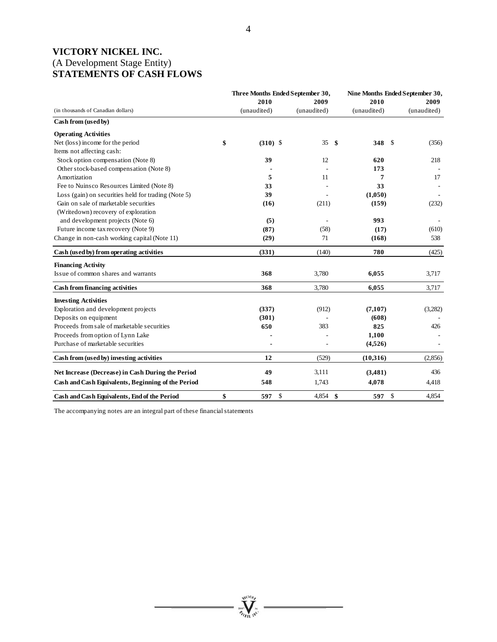# **VICTORY NICKEL INC.**  (A Development Stage Entity) **STATEMENTS OF CASH FLOWS**

|                                                     |    | Three Months Ended September 30, | Nine Months Ended September 30, |              |             |               |             |
|-----------------------------------------------------|----|----------------------------------|---------------------------------|--------------|-------------|---------------|-------------|
|                                                     |    | 2010                             | 2009                            |              | 2010        |               | 2009        |
| (in thousands of Canadian dollars)                  |    | (unaudited)                      | (unaudited)                     |              | (unaudited) |               | (unaudited) |
| Cash from (used by)                                 |    |                                  |                                 |              |             |               |             |
| <b>Operating Activities</b>                         |    |                                  |                                 |              |             |               |             |
| Net (loss) income for the period                    | \$ | $(310)$ \$                       | 35                              | -\$          | 348         | <sup>\$</sup> | (356)       |
| Items not affecting cash:                           |    |                                  |                                 |              |             |               |             |
| Stock option compensation (Note 8)                  |    | 39                               | 12                              |              | 620         |               | 218         |
| Other stock-based compensation (Note 8)             |    |                                  |                                 |              | 173         |               |             |
| Amortization                                        |    | 5                                | 11                              |              | 7           |               | 17          |
| Fee to Nuinsco Resources Limited (Note 8)           |    | 33                               |                                 |              | 33          |               |             |
| Loss (gain) on securities held for trading (Note 5) |    | 39                               |                                 |              | (1,050)     |               |             |
| Gain on sale of marketable securities               |    | (16)                             | (211)                           |              | (159)       |               | (232)       |
| (Writedown) recovery of exploration                 |    |                                  |                                 |              |             |               |             |
| and development projects (Note 6)                   |    | (5)                              |                                 |              | 993         |               |             |
| Future income tax recovery (Note 9)                 |    | (87)                             | (58)                            |              | (17)        |               | (610)       |
| Change in non-cash working capital (Note 11)        |    | (29)                             | 71                              |              | (168)       |               | 538         |
| Cash (used by) from operating activities            |    | (331)                            | (140)                           |              | 780         |               | (425)       |
| <b>Financing Activity</b>                           |    |                                  |                                 |              |             |               |             |
| Issue of common shares and warrants                 |    | 368                              | 3,780                           |              | 6,055       |               | 3,717       |
| Cash from financing activities                      |    | 368                              | 3,780                           |              | 6,055       |               | 3,717       |
| <b>Investing Activities</b>                         |    |                                  |                                 |              |             |               |             |
| Exploration and development projects                |    | (337)                            | (912)                           |              | (7,107)     |               | (3,282)     |
| Deposits on equipment                               |    | (301)                            |                                 |              | (608)       |               |             |
| Proceeds from sale of marketable securities         |    | 650                              | 383                             |              | 825         |               | 426         |
| Proceeds from option of Lynn Lake                   |    |                                  |                                 |              | 1,100       |               |             |
| Purchase of marketable securities                   |    |                                  |                                 |              | (4,526)     |               |             |
| Cash from (used by) investing activities            |    | 12                               | (529)                           |              | (10,316)    |               | (2,856)     |
| Net Increase (Decrease) in Cash During the Period   |    | 49                               | 3,111                           |              | (3,481)     |               | 436         |
| Cash and Cash Equivalents, Beginning of the Period  |    | 548                              | 1,743                           |              | 4,078       |               | 4,418       |
| Cash and Cash Equivalents, End of the Period        | \$ | 597                              | \$<br>4,854                     | $\mathbf{s}$ | 597         | \$            | 4,854       |

**William** 

The accompanying notes are an integral part of these financial statements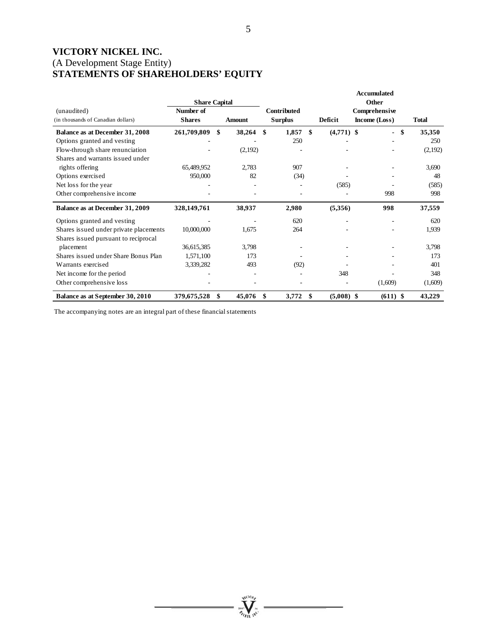# **VICTORY NICKEL INC.**  (A Development Stage Entity) **STATEMENTS OF SHAREHOLDERS' EQUITY**

|                                                   | <b>Share Capital</b>       |               |              |                               |                    | <b>Accumulated</b><br>Other    |                                |              |
|---------------------------------------------------|----------------------------|---------------|--------------|-------------------------------|--------------------|--------------------------------|--------------------------------|--------------|
| (unaudited)<br>(in thousands of Canadian dollars) | Number of<br><b>Shares</b> | <b>Amount</b> |              | Contributed<br><b>Surplus</b> | Deficit            | Comprehensive<br>Income (Loss) |                                | <b>Total</b> |
| Balance as at December 31, 2008                   | 261,709,809                | \$            | 38,264<br>\$ | 1,857                         | \$<br>$(4,771)$ \$ |                                | \$<br>$\overline{\phantom{0}}$ | 35,350       |
| Options granted and vesting                       |                            |               |              | 250                           |                    |                                |                                | 250          |
| Flow-through share renunciation                   |                            |               | (2,192)      |                               |                    |                                |                                | (2,192)      |
| Shares and warrants issued under                  |                            |               |              |                               |                    |                                |                                |              |
| rights offering                                   | 65,489,952                 |               | 2,783        | 907                           |                    |                                |                                | 3,690        |
| Options exercised                                 | 950,000                    |               | 82           | (34)                          |                    |                                |                                | 48           |
| Net loss for the year                             |                            |               |              |                               | (585)              |                                |                                | (585)        |
| Other comprehensive income                        |                            |               |              |                               |                    |                                | 998                            | 998          |
| Balance as at December 31, 2009                   | 328,149,761                |               | 38,937       | 2,980                         | (5,356)            |                                | 998                            | 37,559       |
| Options granted and vesting                       |                            |               |              | 620                           |                    |                                | ۰                              | 620          |
| Shares issued under private placements            | 10,000,000                 |               | 1,675        | 264                           |                    |                                |                                | 1,939        |
| Shares issued pursuant to reciprocal              |                            |               |              |                               |                    |                                |                                |              |
| placement                                         | 36,615,385                 |               | 3,798        |                               |                    |                                |                                | 3,798        |
| Shares issued under Share Bonus Plan              | 1,571,100                  |               | 173          |                               |                    |                                |                                | 173          |
| Warrants exercised                                | 3,339,282                  |               | 493          | (92)                          |                    |                                |                                | 401          |
| Net income for the period                         |                            |               |              |                               | 348                |                                |                                | 348          |
| Other comprehensive loss                          |                            |               |              |                               |                    |                                | (1,609)                        | (1,609)      |
| Balance as at September 30, 2010                  | 379,675,528                | \$            | 45,076<br>S  | 3,772                         | $(5,008)$ \$<br>\$ |                                | $(611)$ \$                     | 43,229       |

The accompanying notes are an integral part of these financial statements

**William**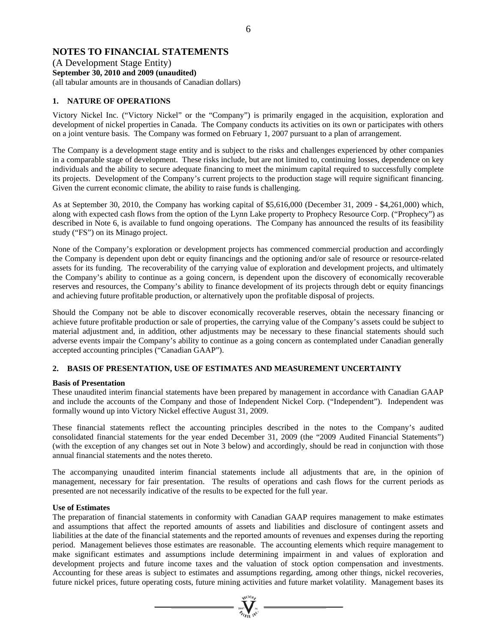# **NOTES TO FINANCIAL STATEMENTS**

(A Development Stage Entity) **September 30, 2010 and 2009 (unaudited)**  (all tabular amounts are in thousands of Canadian dollars)

# **1. NATURE OF OPERATIONS**

Victory Nickel Inc. ("Victory Nickel" or the "Company") is primarily engaged in the acquisition, exploration and development of nickel properties in Canada. The Company conducts its activities on its own or participates with others on a joint venture basis. The Company was formed on February 1, 2007 pursuant to a plan of arrangement.

The Company is a development stage entity and is subject to the risks and challenges experienced by other companies in a comparable stage of development. These risks include, but are not limited to, continuing losses, dependence on key individuals and the ability to secure adequate financing to meet the minimum capital required to successfully complete its projects. Development of the Company's current projects to the production stage will require significant financing. Given the current economic climate, the ability to raise funds is challenging.

As at September 30, 2010, the Company has working capital of \$5,616,000 (December 31, 2009 - \$4,261,000) which, along with expected cash flows from the option of the Lynn Lake property to Prophecy Resource Corp. ("Prophecy") as described in Note 6, is available to fund ongoing operations. The Company has announced the results of its feasibility study ("FS") on its Minago project.

None of the Company's exploration or development projects has commenced commercial production and accordingly the Company is dependent upon debt or equity financings and the optioning and/or sale of resource or resource-related assets for its funding. The recoverability of the carrying value of exploration and development projects, and ultimately the Company's ability to continue as a going concern, is dependent upon the discovery of economically recoverable reserves and resources, the Company's ability to finance development of its projects through debt or equity financings and achieving future profitable production, or alternatively upon the profitable disposal of projects.

Should the Company not be able to discover economically recoverable reserves, obtain the necessary financing or achieve future profitable production or sale of properties, the carrying value of the Company's assets could be subject to material adjustment and, in addition, other adjustments may be necessary to these financial statements should such adverse events impair the Company's ability to continue as a going concern as contemplated under Canadian generally accepted accounting principles ("Canadian GAAP").

# **2. BASIS OF PRESENTATION, USE OF ESTIMATES AND MEASUREMENT UNCERTAINTY**

# **Basis of Presentation**

These unaudited interim financial statements have been prepared by management in accordance with Canadian GAAP and include the accounts of the Company and those of Independent Nickel Corp. ("Independent"). Independent was formally wound up into Victory Nickel effective August 31, 2009.

These financial statements reflect the accounting principles described in the notes to the Company's audited consolidated financial statements for the year ended December 31, 2009 (the "2009 Audited Financial Statements") (with the exception of any changes set out in Note 3 below) and accordingly, should be read in conjunction with those annual financial statements and the notes thereto.

The accompanying unaudited interim financial statements include all adjustments that are, in the opinion of management, necessary for fair presentation. The results of operations and cash flows for the current periods as presented are not necessarily indicative of the results to be expected for the full year.

# **Use of Estimates**

The preparation of financial statements in conformity with Canadian GAAP requires management to make estimates and assumptions that affect the reported amounts of assets and liabilities and disclosure of contingent assets and liabilities at the date of the financial statements and the reported amounts of revenues and expenses during the reporting period. Management believes those estimates are reasonable. The accounting elements which require management to make significant estimates and assumptions include determining impairment in and values of exploration and development projects and future income taxes and the valuation of stock option compensation and investments. Accounting for these areas is subject to estimates and assumptions regarding, among other things, nickel recoveries, future nickel prices, future operating costs, future mining activities and future market volatility. Management bases its

 $\sum_{\alpha}$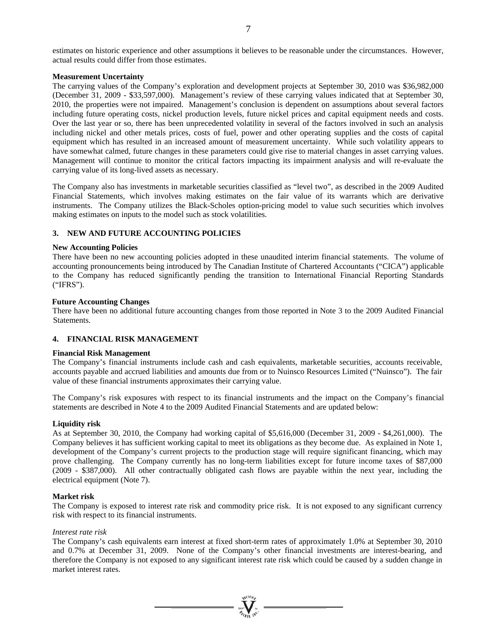estimates on historic experience and other assumptions it believes to be reasonable under the circumstances. However, actual results could differ from those estimates.

# **Measurement Uncertainty**

The carrying values of the Company's exploration and development projects at September 30, 2010 was \$36,982,000 (December 31, 2009 - \$33,597,000). Management's review of these carrying values indicated that at September 30, 2010, the properties were not impaired. Management's conclusion is dependent on assumptions about several factors including future operating costs, nickel production levels, future nickel prices and capital equipment needs and costs. Over the last year or so, there has been unprecedented volatility in several of the factors involved in such an analysis including nickel and other metals prices, costs of fuel, power and other operating supplies and the costs of capital equipment which has resulted in an increased amount of measurement uncertainty. While such volatility appears to have somewhat calmed, future changes in these parameters could give rise to material changes in asset carrying values. Management will continue to monitor the critical factors impacting its impairment analysis and will re-evaluate the carrying value of its long-lived assets as necessary.

The Company also has investments in marketable securities classified as "level two", as described in the 2009 Audited Financial Statements, which involves making estimates on the fair value of its warrants which are derivative instruments. The Company utilizes the Black-Scholes option-pricing model to value such securities which involves making estimates on inputs to the model such as stock volatilities.

# **3. NEW AND FUTURE ACCOUNTING POLICIES**

# **New Accounting Policies**

There have been no new accounting policies adopted in these unaudited interim financial statements. The volume of accounting pronouncements being introduced by The Canadian Institute of Chartered Accountants ("CICA") applicable to the Company has reduced significantly pending the transition to International Financial Reporting Standards ("IFRS").

# **Future Accounting Changes**

There have been no additional future accounting changes from those reported in Note 3 to the 2009 Audited Financial Statements.

# **4. FINANCIAL RISK MANAGEMENT**

# **Financial Risk Management**

The Company's financial instruments include cash and cash equivalents, marketable securities, accounts receivable, accounts payable and accrued liabilities and amounts due from or to Nuinsco Resources Limited ("Nuinsco"). The fair value of these financial instruments approximates their carrying value.

The Company's risk exposures with respect to its financial instruments and the impact on the Company's financial statements are described in Note 4 to the 2009 Audited Financial Statements and are updated below:

# **Liquidity risk**

As at September 30, 2010, the Company had working capital of \$5,616,000 (December 31, 2009 - \$4,261,000). The Company believes it has sufficient working capital to meet its obligations as they become due. As explained in Note 1, development of the Company's current projects to the production stage will require significant financing, which may prove challenging. The Company currently has no long-term liabilities except for future income taxes of \$87,000 (2009 - \$387,000). All other contractually obligated cash flows are payable within the next year, including the electrical equipment (Note 7).

# **Market risk**

The Company is exposed to interest rate risk and commodity price risk. It is not exposed to any significant currency risk with respect to its financial instruments.

# *Interest rate risk*

The Company's cash equivalents earn interest at fixed short-term rates of approximately 1.0% at September 30, 2010 and 0.7% at December 31, 2009. None of the Company's other financial investments are interest-bearing, and therefore the Company is not exposed to any significant interest rate risk which could be caused by a sudden change in market interest rates.

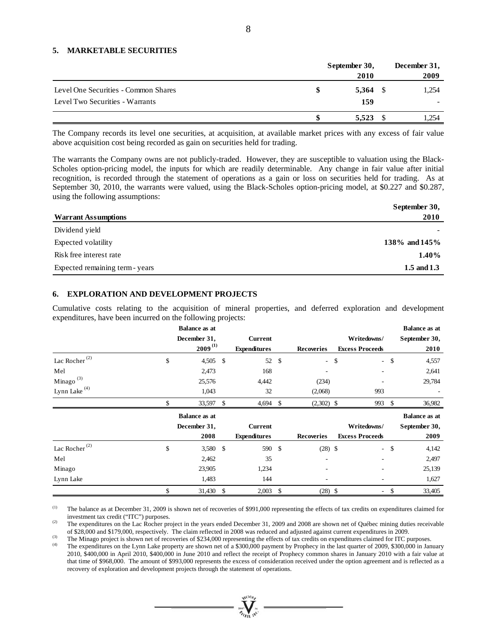# **5. MARKETABLE SECURITIES**

|                                                                         | September 30,<br>2010 | December 31,<br>2009 |
|-------------------------------------------------------------------------|-----------------------|----------------------|
| Level One Securities - Common Shares<br>Level Two Securities - Warrants | $5,364$ \$<br>159     | 1,254                |
|                                                                         | 5,523                 | 1,254                |

The Company records its level one securities, at acquisition, at available market prices with any excess of fair value above acquisition cost being recorded as gain on securities held for trading.

The warrants the Company owns are not publicly-traded. However, they are susceptible to valuation using the Black-Scholes option-pricing model, the inputs for which are readily determinable. Any change in fair value after initial recognition, is recorded through the statement of operations as a gain or loss on securities held for trading. As at September 30, 2010, the warrants were valued, using the Black-Scholes option-pricing model, at \$0.227 and \$0.287, using the following assumptions:

|                                 | September 30,     |
|---------------------------------|-------------------|
| <b>Warrant Assumptions</b>      | 2010              |
| Dividend yield                  |                   |
| Expected volatility             | 138\% and $145\%$ |
| Risk free interest rate         | $1.40\%$          |
| Expected remaining term - years | 1.5 and 1.3       |

# **6. EXPLORATION AND DEVELOPMENT PROJECTS**

Cumulative costs relating to the acquisition of mineral properties, and deferred exploration and development expenditures, have been incurred on the following projects:

|                           | <b>Balance as at</b> |  |                     |               |                          |                        |        | <b>Balance as at</b> |
|---------------------------|----------------------|--|---------------------|---------------|--------------------------|------------------------|--------|----------------------|
|                           | December 31,         |  | <b>Current</b>      |               |                          | Writedowns/            |        | September 30,        |
|                           | $2009^{(1)}$         |  | <b>Expenditures</b> |               | <b>Recoveries</b>        | <b>Excess Proceeds</b> |        | 2010                 |
| Lac Rocher <sup>(2)</sup> | \$<br>$4,505$ \$     |  | 52                  | \$            | $\sim$                   | \$                     | $-$ \$ | 4,557                |
| Mel                       | 2,473                |  | 168                 |               | ۰                        |                        |        | 2,641                |
| Minago <sup>(3)</sup>     | 25,576               |  | 4,442               |               | (234)                    |                        |        | 29,784               |
| Lynn Lake $(4)$           | 1,043                |  | 32                  |               | (2,068)                  | 993                    |        |                      |
|                           | \$<br>33,597 \$      |  | 4,694               | \$            | $(2,302)$ \$             | 993                    | \$     | 36,982               |
|                           |                      |  |                     |               |                          |                        |        |                      |
|                           | <b>Balance as at</b> |  |                     |               |                          |                        |        | <b>Balance as at</b> |
|                           | December 31,         |  | <b>Current</b>      |               |                          | Writedowns/            |        | September 30,        |
|                           | 2008                 |  | <b>Expenditures</b> |               | <b>Recoveries</b>        | <b>Excess Proceeds</b> |        | 2009                 |
| Lac Rocher <sup>(2)</sup> | \$<br>3,580 \$       |  | 590                 | $\mathcal{S}$ | $(28)$ \$                | $\sim$                 | -\$    | 4,142                |
| Mel                       | 2,462                |  | 35                  |               | ۰                        |                        |        | 2,497                |
| Minago                    | 23,905               |  | 1,234               |               | ۰                        |                        |        | 25,139               |
| Lynn Lake                 | 1,483                |  | 144                 |               | $\overline{\phantom{0}}$ |                        |        | 1,627                |

(1) The balance as at December 31, 2009 is shown net of recoveries of \$991,000 representing the effects of tax credits on expenditures claimed for investment tax credit ("ITC") purposes.<br>
(2) The expenditures on the Lac Rocher project in the years ended December 31, 2009 and 2008 are shown net of Québec mining duties receivable

of \$28,000 and \$179,000, respectively. The claim reflected in 2008 was reduced and adjusted against current expenditures in 2009.<br>The Minago project is shown net of recoveries of \$234,000 representing the effects of tax cr

2010, \$400,000 in April 2010, \$400,000 in June 2010 and reflect the receipt of Prophecy common shares in January 2010 with a fair value at that time of \$968,000. The amount of \$993,000 represents the excess of consideration received under the option agreement and is reflected as a recovery of exploration and development projects through the statement of operations.

 $\mathbf{V}$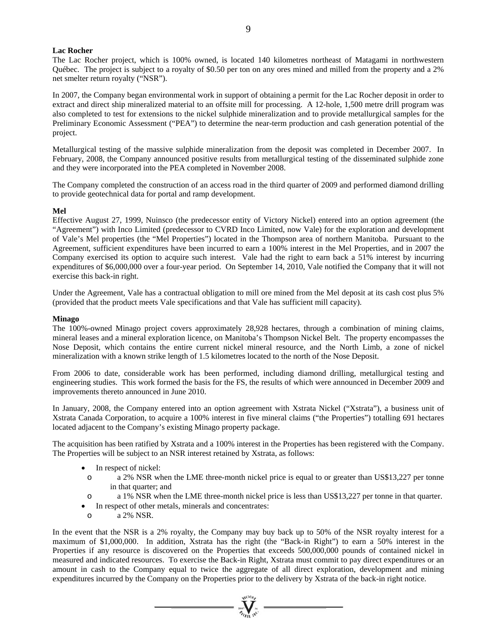### **Lac Rocher**

The Lac Rocher project, which is 100% owned, is located 140 kilometres northeast of Matagami in northwestern Québec. The project is subject to a royalty of \$0.50 per ton on any ores mined and milled from the property and a 2% net smelter return royalty ("NSR").

In 2007, the Company began environmental work in support of obtaining a permit for the Lac Rocher deposit in order to extract and direct ship mineralized material to an offsite mill for processing. A 12-hole, 1,500 metre drill program was also completed to test for extensions to the nickel sulphide mineralization and to provide metallurgical samples for the Preliminary Economic Assessment ("PEA") to determine the near-term production and cash generation potential of the project.

Metallurgical testing of the massive sulphide mineralization from the deposit was completed in December 2007. In February, 2008, the Company announced positive results from metallurgical testing of the disseminated sulphide zone and they were incorporated into the PEA completed in November 2008.

The Company completed the construction of an access road in the third quarter of 2009 and performed diamond drilling to provide geotechnical data for portal and ramp development.

# **Mel**

Effective August 27, 1999, Nuinsco (the predecessor entity of Victory Nickel) entered into an option agreement (the "Agreement") with Inco Limited (predecessor to CVRD Inco Limited, now Vale) for the exploration and development of Vale's Mel properties (the "Mel Properties") located in the Thompson area of northern Manitoba. Pursuant to the Agreement, sufficient expenditures have been incurred to earn a 100% interest in the Mel Properties, and in 2007 the Company exercised its option to acquire such interest. Vale had the right to earn back a 51% interest by incurring expenditures of \$6,000,000 over a four-year period. On September 14, 2010, Vale notified the Company that it will not exercise this back-in right.

Under the Agreement, Vale has a contractual obligation to mill ore mined from the Mel deposit at its cash cost plus 5% (provided that the product meets Vale specifications and that Vale has sufficient mill capacity).

#### **Minago**

The 100%-owned Minago project covers approximately 28,928 hectares, through a combination of mining claims, mineral leases and a mineral exploration licence, on Manitoba's Thompson Nickel Belt. The property encompasses the Nose Deposit, which contains the entire current nickel mineral resource, and the North Limb, a zone of nickel mineralization with a known strike length of 1.5 kilometres located to the north of the Nose Deposit.

From 2006 to date, considerable work has been performed, including diamond drilling, metallurgical testing and engineering studies. This work formed the basis for the FS, the results of which were announced in December 2009 and improvements thereto announced in June 2010.

In January, 2008, the Company entered into an option agreement with Xstrata Nickel ("Xstrata"), a business unit of Xstrata Canada Corporation, to acquire a 100% interest in five mineral claims ("the Properties") totalling 691 hectares located adjacent to the Company's existing Minago property package.

The acquisition has been ratified by Xstrata and a 100% interest in the Properties has been registered with the Company. The Properties will be subject to an NSR interest retained by Xstrata, as follows:

- In respect of nickel:
- o a 2% NSR when the LME three-month nickel price is equal to or greater than US\$13,227 per tonne in that quarter; and
- o a 1% NSR when the LME three-month nickel price is less than US\$13,227 per tonne in that quarter.
- In respect of other metals, minerals and concentrates:
- o a 2% NSR.

In the event that the NSR is a 2% royalty, the Company may buy back up to 50% of the NSR royalty interest for a maximum of \$1,000,000. In addition, Xstrata has the right (the "Back-in Right") to earn a 50% interest in the Properties if any resource is discovered on the Properties that exceeds 500,000,000 pounds of contained nickel in measured and indicated resources. To exercise the Back-in Right, Xstrata must commit to pay direct expenditures or an amount in cash to the Company equal to twice the aggregate of all direct exploration, development and mining expenditures incurred by the Company on the Properties prior to the delivery by Xstrata of the back-in right notice.

 $\sum_{\alpha}$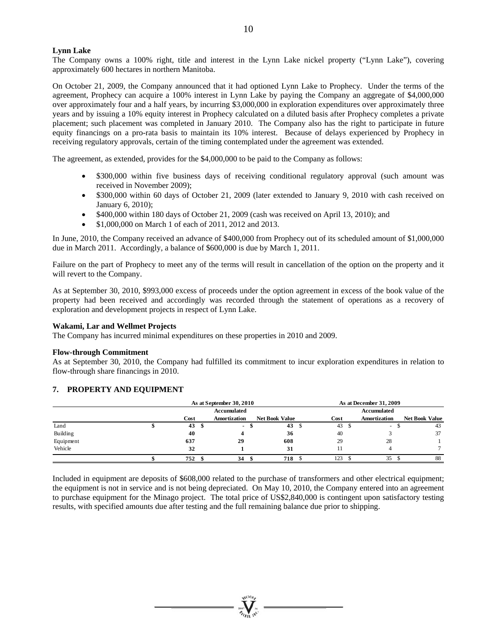# **Lynn Lake**

The Company owns a 100% right, title and interest in the Lynn Lake nickel property ("Lynn Lake"), covering approximately 600 hectares in northern Manitoba.

On October 21, 2009, the Company announced that it had optioned Lynn Lake to Prophecy. Under the terms of the agreement, Prophecy can acquire a 100% interest in Lynn Lake by paying the Company an aggregate of \$4,000,000 over approximately four and a half years, by incurring \$3,000,000 in exploration expenditures over approximately three years and by issuing a 10% equity interest in Prophecy calculated on a diluted basis after Prophecy completes a private placement; such placement was completed in January 2010. The Company also has the right to participate in future equity financings on a pro-rata basis to maintain its 10% interest. Because of delays experienced by Prophecy in receiving regulatory approvals, certain of the timing contemplated under the agreement was extended.

The agreement, as extended, provides for the \$4,000,000 to be paid to the Company as follows:

- \$300,000 within five business days of receiving conditional regulatory approval (such amount was received in November 2009);
- \$300,000 within 60 days of October 21, 2009 (later extended to January 9, 2010 with cash received on January 6, 2010);
- \$400,000 within 180 days of October 21, 2009 (cash was received on April 13, 2010); and
- \$1,000,000 on March 1 of each of 2011, 2012 and 2013.

In June, 2010, the Company received an advance of \$400,000 from Prophecy out of its scheduled amount of \$1,000,000 due in March 2011. Accordingly, a balance of \$600,000 is due by March 1, 2011.

Failure on the part of Prophecy to meet any of the terms will result in cancellation of the option on the property and it will revert to the Company.

As at September 30, 2010, \$993,000 excess of proceeds under the option agreement in excess of the book value of the property had been received and accordingly was recorded through the statement of operations as a recovery of exploration and development projects in respect of Lynn Lake.

# **Wakami, Lar and Wellmet Projects**

The Company has incurred minimal expenditures on these properties in 2010 and 2009.

#### **Flow-through Commitment**

As at September 30, 2010, the Company had fulfilled its commitment to incur exploration expenditures in relation to flow-through share financings in 2010.

#### **7. PROPERTY AND EQUIPMENT**

|           |      | As at September 30, 2010 |              |    |                       |             | As at December 31, 2009 |              |                       |    |
|-----------|------|--------------------------|--------------|----|-----------------------|-------------|-------------------------|--------------|-----------------------|----|
|           |      | Accumulated              |              |    |                       | Accumulated |                         |              |                       |    |
|           | Cost |                          | Amortization |    | <b>Net Book Value</b> |             | Cost                    | Amortization | <b>Net Book Value</b> |    |
| Land      | 43   | - 35                     | $\sim$       | ٠D | 43                    | -S          | 43S                     | $\sim$       |                       | 43 |
| Building  | 40   |                          |              |    | 36                    |             | 40                      |              |                       | 37 |
| Equipment | 637  |                          | 29           |    | 608                   |             | 29                      | 28           |                       |    |
| Vehicle   | 32   |                          |              |    | 31                    |             |                         |              |                       |    |
|           | 752  |                          | 34           |    | 718                   |             | 123                     | 35           |                       | 88 |

Included in equipment are deposits of \$608,000 related to the purchase of transformers and other electrical equipment; the equipment is not in service and is not being depreciated. On May 10, 2010, the Company entered into an agreement to purchase equipment for the Minago project. The total price of US\$2,840,000 is contingent upon satisfactory testing results, with specified amounts due after testing and the full remaining balance due prior to shipping.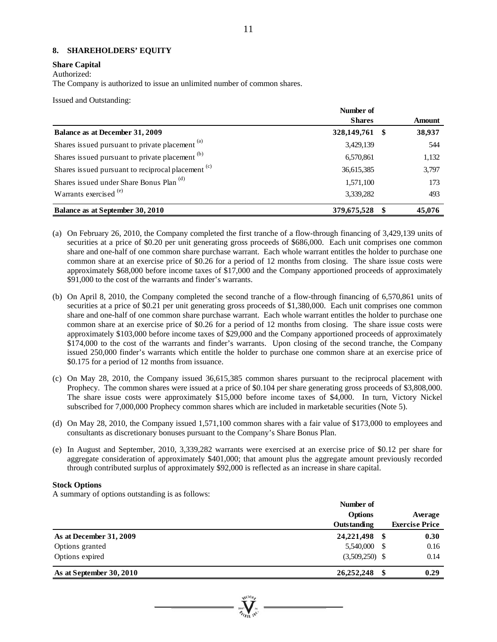# **8. SHAREHOLDERS' EQUITY**

# **Share Capital**

Authorized:

The Company is authorized to issue an unlimited number of common shares.

Issued and Outstanding:

|                                                               | Number of      |               |
|---------------------------------------------------------------|----------------|---------------|
|                                                               | <b>Shares</b>  | <b>Amount</b> |
| Balance as at December 31, 2009                               | 328,149,761 \$ | 38,937        |
| Shares issued pursuant to private placement <sup>(a)</sup>    | 3,429,139      | 544           |
| Shares issued pursuant to private placement (b)               | 6,570,861      | 1,132         |
| Shares issued pursuant to reciprocal placement <sup>(c)</sup> | 36,615,385     | 3,797         |
| Shares issued under Share Bonus Plan <sup>(d)</sup>           | 1,571,100      | 173           |
| Warrants exercised <sup>(e)</sup>                             | 3,339,282      | 493           |
| Balance as at September 30, 2010                              | 379,675,528    | 45,076        |

- (a) On February 26, 2010, the Company completed the first tranche of a flow-through financing of 3,429,139 units of securities at a price of \$0.20 per unit generating gross proceeds of \$686,000. Each unit comprises one common share and one-half of one common share purchase warrant. Each whole warrant entitles the holder to purchase one common share at an exercise price of \$0.26 for a period of 12 months from closing. The share issue costs were approximately \$68,000 before income taxes of \$17,000 and the Company apportioned proceeds of approximately \$91,000 to the cost of the warrants and finder's warrants.
- (b) On April 8, 2010, the Company completed the second tranche of a flow-through financing of 6,570,861 units of securities at a price of \$0.21 per unit generating gross proceeds of \$1,380,000. Each unit comprises one common share and one-half of one common share purchase warrant. Each whole warrant entitles the holder to purchase one common share at an exercise price of \$0.26 for a period of 12 months from closing. The share issue costs were approximately \$103,000 before income taxes of \$29,000 and the Company apportioned proceeds of approximately \$174,000 to the cost of the warrants and finder's warrants. Upon closing of the second tranche, the Company issued 250,000 finder's warrants which entitle the holder to purchase one common share at an exercise price of \$0.175 for a period of 12 months from issuance.
- (c) On May 28, 2010, the Company issued 36,615,385 common shares pursuant to the reciprocal placement with Prophecy. The common shares were issued at a price of \$0.104 per share generating gross proceeds of \$3,808,000. The share issue costs were approximately \$15,000 before income taxes of \$4,000. In turn, Victory Nickel subscribed for 7,000,000 Prophecy common shares which are included in marketable securities (Note 5).
- (d) On May 28, 2010, the Company issued 1,571,100 common shares with a fair value of \$173,000 to employees and consultants as discretionary bonuses pursuant to the Company's Share Bonus Plan.
- (e) In August and September, 2010, 3,339,282 warrants were exercised at an exercise price of \$0.12 per share for aggregate consideration of approximately \$401,000; that amount plus the aggregate amount previously recorded through contributed surplus of approximately \$92,000 is reflected as an increase in share capital.

# **Stock Options**

A summary of options outstanding is as follows:

|                          | Number of          |                       |
|--------------------------|--------------------|-----------------------|
|                          | Options            | Average               |
|                          | Outstanding        | <b>Exercise Price</b> |
| As at December 31, 2009  | 24, 221, 498<br>-S | 0.30                  |
| Options granted          | 5,540,000          | 0.16                  |
| Options expired          | $(3,509,250)$ \$   | 0.14                  |
| As at September 30, 2010 | 26,252,248         | 0.29                  |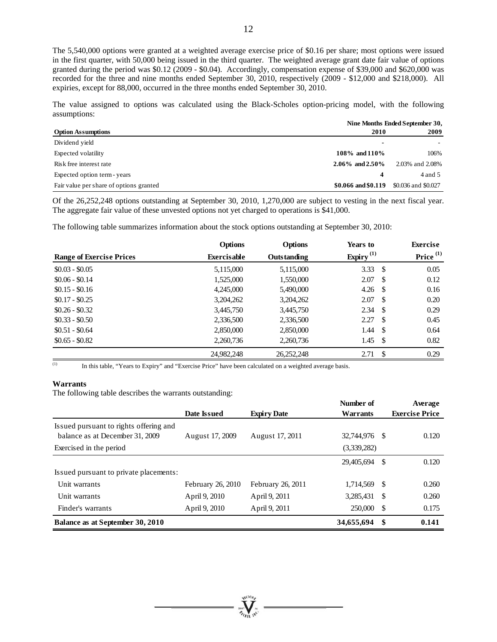The 5,540,000 options were granted at a weighted average exercise price of \$0.16 per share; most options were issued in the first quarter, with 50,000 being issued in the third quarter. The weighted average grant date fair value of options granted during the period was \$0.12 (2009 - \$0.04). Accordingly, compensation expense of \$39,000 and \$620,000 was recorded for the three and nine months ended September 30, 2010, respectively (2009 - \$12,000 and \$218,000). All expiries, except for 88,000, occurred in the three months ended September 30, 2010.

The value assigned to options was calculated using the Black-Scholes option-pricing model, with the following assumptions:

|                                         | Nine Months Ended September 30, |                     |  |
|-----------------------------------------|---------------------------------|---------------------|--|
| <b>Option Assumptions</b>               | 2010                            | 2009                |  |
| Dividend yield                          | $\blacksquare$                  |                     |  |
| Expected volatility                     | 108\% and 110\%                 | 106%                |  |
| Risk free interest rate                 | $2.06\%$ and $2.50\%$           | 2.03% and 2.08%     |  |
| Expected option term - years            |                                 | 4 and 5             |  |
| Fair value per share of options granted | \$0.066 and \$0.119             | \$0.036 and \$0.027 |  |

Of the 26,252,248 options outstanding at September 30, 2010, 1,270,000 are subject to vesting in the next fiscal year. The aggregate fair value of these unvested options not yet charged to operations is \$41,000.

The following table summarizes information about the stock options outstanding at September 30, 2010:

|                                 | <b>Options</b>     | <b>Options</b>     | Years to        |     | <b>Exercise</b>      |
|---------------------------------|--------------------|--------------------|-----------------|-----|----------------------|
| <b>Range of Exercise Prices</b> | <b>Exercisable</b> | <b>Outstanding</b> | Expiry $^{(1)}$ |     | Price <sup>(1)</sup> |
| $$0.03 - $0.05$                 | 5,115,000          | 5,115,000          | 3.33            | -\$ | 0.05                 |
| $$0.06 - $0.14$                 | 1,525,000          | 1,550,000          | 2.07            | -S  | 0.12                 |
| $$0.15 - $0.16$                 | 4,245,000          | 5,490,000          | 4.26            | -S  | 0.16                 |
| $$0.17 - $0.25$                 | 3,204,262          | 3,204,262          | 2.07            | -\$ | 0.20                 |
| $$0.26 - $0.32$$                | 3,445,750          | 3,445,750          | 2.34            | -S  | 0.29                 |
| $$0.33 - $0.50$                 | 2,336,500          | 2,336,500          | 2.27            | -S  | 0.45                 |
| $$0.51 - $0.64$                 | 2,850,000          | 2,850,000          | 1.44            | -\$ | 0.64                 |
| $$0.65 - $0.82$$                | 2,260,736          | 2,260,736          | 1.45            | -\$ | 0.82                 |
|                                 | 24,982,248         | 26,252,248         | 2.71            | -\$ | 0.29                 |

(1) In this table, "Years to Expiry" and "Exercise Price" have been calculated on a weighted average basis.

# **Warrants**

The following table describes the warrants outstanding:

|                                        |                   |                    | Number of       |      | Average               |
|----------------------------------------|-------------------|--------------------|-----------------|------|-----------------------|
|                                        | Date Issued       | <b>Expiry Date</b> | <b>Warrants</b> |      | <b>Exercise Price</b> |
| Issued pursuant to rights offering and |                   |                    |                 |      |                       |
| balance as at December 31, 2009        | August 17, 2009   | August 17, 2011    | 32,744,976      | -S   | 0.120                 |
| Exercised in the period                |                   |                    | (3,339,282)     |      |                       |
|                                        |                   |                    | 29,405,694      | S    | 0.120                 |
| Issued pursuant to private placements: |                   |                    |                 |      |                       |
| Unit warrants                          | February 26, 2010 | February 26, 2011  | 1,714,569       | - \$ | 0.260                 |
| Unit warrants                          | April 9, 2010     | April 9, 2011      | 3,285,431       | -S   | 0.260                 |
| Finder's warrants                      | April 9, 2010     | April 9, 2011      | 250,000         | -S   | 0.175                 |
| Balance as at September 30, 2010       |                   |                    | 34,655,694      | S    | 0.141                 |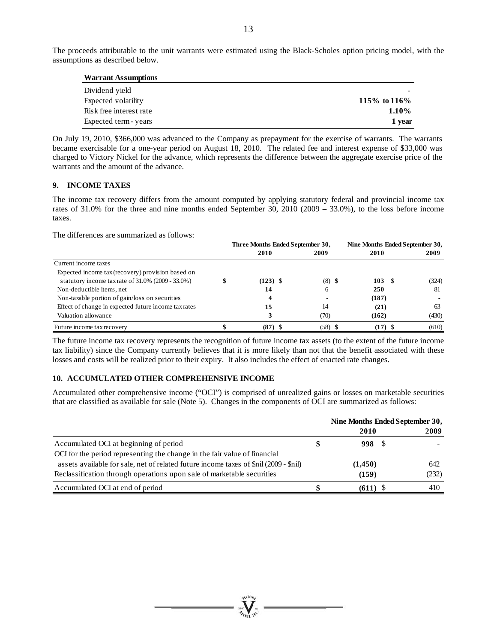The proceeds attributable to the unit warrants were estimated using the Black-Scholes option pricing model, with the assumptions as described below.

| <b>Warrant Assumptions</b> |                |
|----------------------------|----------------|
| Dividend yield             | ۰              |
| Expected volatility        | 115\% to 116\% |
| Risk free interest rate    | 1.10%          |
| Expected term - years      | 1 year         |

On July 19, 2010, \$366,000 was advanced to the Company as prepayment for the exercise of warrants. The warrants became exercisable for a one-year period on August 18, 2010. The related fee and interest expense of \$33,000 was charged to Victory Nickel for the advance, which represents the difference between the aggregate exercise price of the warrants and the amount of the advance.

# **9. INCOME TAXES**

The income tax recovery differs from the amount computed by applying statutory federal and provincial income tax rates of 31.0% for the three and nine months ended September 30, 2010 (2009 – 33.0%), to the loss before income taxes.

The differences are summarized as follows:

|                                                      | Three Months Ended September 30, |            |  | Nine Months Ended September 30, |           |  |       |
|------------------------------------------------------|----------------------------------|------------|--|---------------------------------|-----------|--|-------|
|                                                      |                                  | 2010       |  | 2009                            | 2010      |  | 2009  |
| Current income taxes                                 |                                  |            |  |                                 |           |  |       |
| Expected income tax (recovery) provision based on    |                                  |            |  |                                 |           |  |       |
| statutory income tax rate of $31.0\%$ (2009 - 33.0%) |                                  | $(123)$ \$ |  | $(8)$ \$                        | 103S      |  | (324) |
| Non-deductible items, net                            |                                  | 14         |  | 6                               | 250       |  | 81    |
| Non-taxable portion of gain/loss on securities       |                                  | 4          |  |                                 | (187)     |  |       |
| Effect of change in expected future income tax rates |                                  | 15         |  | 14                              | (21)      |  | 63    |
| Valuation allowance                                  |                                  |            |  | (70)                            | (162)     |  | (430) |
| Future income tax recovery                           |                                  | (87)       |  | $(58)$ \$                       | $(17)$ \$ |  | (610) |

The future income tax recovery represents the recognition of future income tax assets (to the extent of the future income tax liability) since the Company currently believes that it is more likely than not that the benefit associated with these losses and costs will be realized prior to their expiry. It also includes the effect of enacted rate changes.

# **10. ACCUMULATED OTHER COMPREHENSIVE INCOME**

Accumulated other comprehensive income ("OCI") is comprised of unrealized gains or losses on marketable securities that are classified as available for sale (Note 5). Changes in the components of OCI are summarized as follows:

|                                                                                       | Nine Months Ended September 30, |       |
|---------------------------------------------------------------------------------------|---------------------------------|-------|
|                                                                                       | 2010                            | 2009  |
| Accumulated OCI at beginning of period                                                | 998 S                           |       |
| OCI for the period representing the change in the fair value of financial             |                                 |       |
| assets available for sale, net of related future income taxes of \$nil (2009 - \$nil) | (1,450)                         | 642   |
| Reclassification through operations upon sale of marketable securities                | (159)                           | (232) |
| Accumulated OCI at end of period                                                      | $(611)$ \$                      | 410   |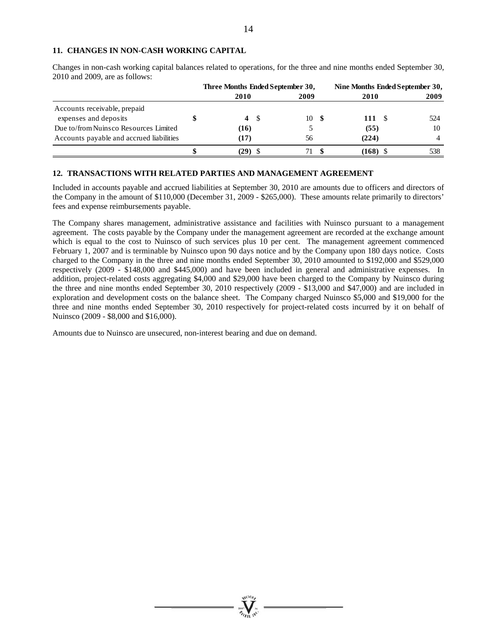### **11. CHANGES IN NON-CASH WORKING CAPITAL**

Changes in non-cash working capital balances related to operations, for the three and nine months ended September 30, 2010 and 2009, are as follows:

|                                          |      | Three Months Ended September 30, |             | Nine Months Ended September 30, |  |  |
|------------------------------------------|------|----------------------------------|-------------|---------------------------------|--|--|
|                                          | 2010 | 2009                             | 2010        | 2009                            |  |  |
| Accounts receivable, prepaid             |      |                                  |             |                                 |  |  |
| expenses and deposits                    |      | 4 S<br>10                        | 111<br>- \$ | 524                             |  |  |
| Due to/from Nuinsco Resources Limited    | (16) |                                  | (55)        | 10                              |  |  |
| Accounts payable and accrued liabilities | (17) | 56                               | (224)       |                                 |  |  |
|                                          | (29) |                                  | (168)       | 538                             |  |  |

# **12. TRANSACTIONS WITH RELATED PARTIES AND MANAGEMENT AGREEMENT**

Included in accounts payable and accrued liabilities at September 30, 2010 are amounts due to officers and directors of the Company in the amount of \$110,000 (December 31, 2009 - \$265,000). These amounts relate primarily to directors' fees and expense reimbursements payable.

The Company shares management, administrative assistance and facilities with Nuinsco pursuant to a management agreement. The costs payable by the Company under the management agreement are recorded at the exchange amount which is equal to the cost to Nuinsco of such services plus 10 per cent. The management agreement commenced February 1, 2007 and is terminable by Nuinsco upon 90 days notice and by the Company upon 180 days notice. Costs charged to the Company in the three and nine months ended September 30, 2010 amounted to \$192,000 and \$529,000 respectively (2009 - \$148,000 and \$445,000) and have been included in general and administrative expenses. In addition, project-related costs aggregating \$4,000 and \$29,000 have been charged to the Company by Nuinsco during the three and nine months ended September 30, 2010 respectively (2009 - \$13,000 and \$47,000) and are included in exploration and development costs on the balance sheet. The Company charged Nuinsco \$5,000 and \$19,000 for the three and nine months ended September 30, 2010 respectively for project-related costs incurred by it on behalf of Nuinsco (2009 - \$8,000 and \$16,000).

Amounts due to Nuinsco are unsecured, non-interest bearing and due on demand.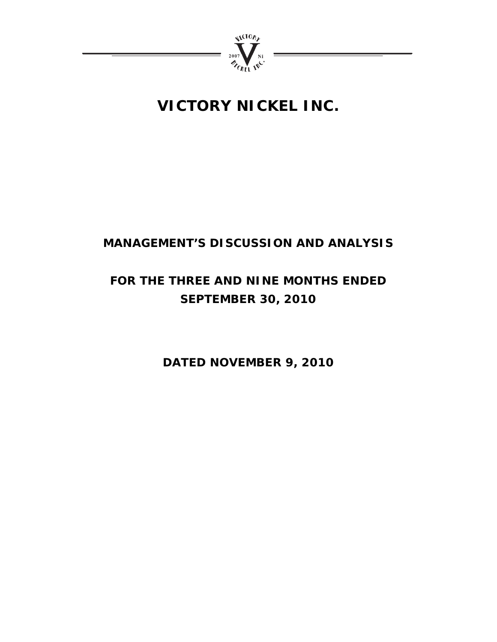

# **VICTORY NICKEL INC.**

# **MANAGEMENT'S DISCUSSION AND ANALYSIS**

# **FOR THE THREE AND NINE MONTHS ENDED SEPTEMBER 30, 2010**

**DATED NOVEMBER 9, 2010**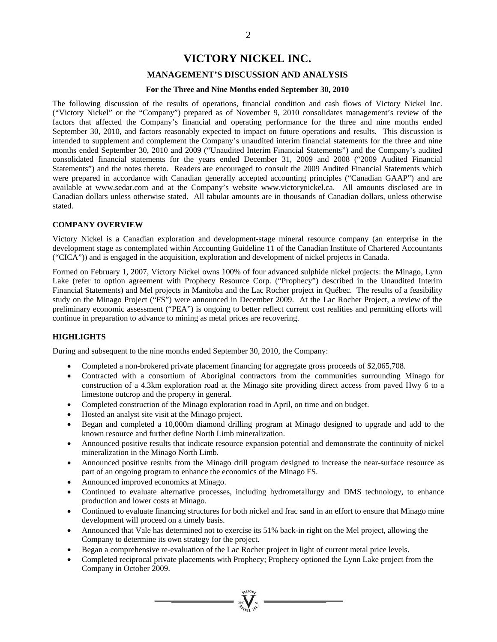# **VICTORY NICKEL INC.**

# **MANAGEMENT'S DISCUSSION AND ANALYSIS**

#### **For the Three and Nine Months ended September 30, 2010**

The following discussion of the results of operations, financial condition and cash flows of Victory Nickel Inc. ("Victory Nickel" or the "Company") prepared as of November 9, 2010 consolidates management's review of the factors that affected the Company's financial and operating performance for the three and nine months ended September 30, 2010, and factors reasonably expected to impact on future operations and results. This discussion is intended to supplement and complement the Company's unaudited interim financial statements for the three and nine months ended September 30, 2010 and 2009 ("Unaudited Interim Financial Statements") and the Company's audited consolidated financial statements for the years ended December 31, 2009 and 2008 ("2009 Audited Financial Statements") and the notes thereto. Readers are encouraged to consult the 2009 Audited Financial Statements which were prepared in accordance with Canadian generally accepted accounting principles ("Canadian GAAP") and are available at www.sedar.com and at the Company's website www.victorynickel.ca. All amounts disclosed are in Canadian dollars unless otherwise stated. All tabular amounts are in thousands of Canadian dollars, unless otherwise stated.

#### **COMPANY OVERVIEW**

Victory Nickel is a Canadian exploration and development-stage mineral resource company (an enterprise in the development stage as contemplated within Accounting Guideline 11 of the Canadian Institute of Chartered Accountants ("CICA")) and is engaged in the acquisition, exploration and development of nickel projects in Canada.

Formed on February 1, 2007, Victory Nickel owns 100% of four advanced sulphide nickel projects: the Minago, Lynn Lake (refer to option agreement with Prophecy Resource Corp. ("Prophecy") described in the Unaudited Interim Financial Statements) and Mel projects in Manitoba and the Lac Rocher project in Québec. The results of a feasibility study on the Minago Project ("FS") were announced in December 2009. At the Lac Rocher Project, a review of the preliminary economic assessment ("PEA") is ongoing to better reflect current cost realities and permitting efforts will continue in preparation to advance to mining as metal prices are recovering.

# **HIGHLIGHTS**

During and subsequent to the nine months ended September 30, 2010, the Company:

- Completed a non-brokered private placement financing for aggregate gross proceeds of \$2,065,708.
- Contracted with a consortium of Aboriginal contractors from the communities surrounding Minago for construction of a 4.3km exploration road at the Minago site providing direct access from paved Hwy 6 to a limestone outcrop and the property in general.
- Completed construction of the Minago exploration road in April, on time and on budget.
- Hosted an analyst site visit at the Minago project.
- Began and completed a 10,000m diamond drilling program at Minago designed to upgrade and add to the known resource and further define North Limb mineralization.
- Announced positive results that indicate resource expansion potential and demonstrate the continuity of nickel mineralization in the Minago North Limb.
- Announced positive results from the Minago drill program designed to increase the near-surface resource as part of an ongoing program to enhance the economics of the Minago FS.
- Announced improved economics at Minago.
- Continued to evaluate alternative processes, including hydrometallurgy and DMS technology, to enhance production and lower costs at Minago.
- Continued to evaluate financing structures for both nickel and frac sand in an effort to ensure that Minago mine development will proceed on a timely basis.
- Announced that Vale has determined not to exercise its 51% back-in right on the Mel project, allowing the Company to determine its own strategy for the project.
- Began a comprehensive re-evaluation of the Lac Rocher project in light of current metal price levels.
- Completed reciprocal private placements with Prophecy; Prophecy optioned the Lynn Lake project from the Company in October 2009.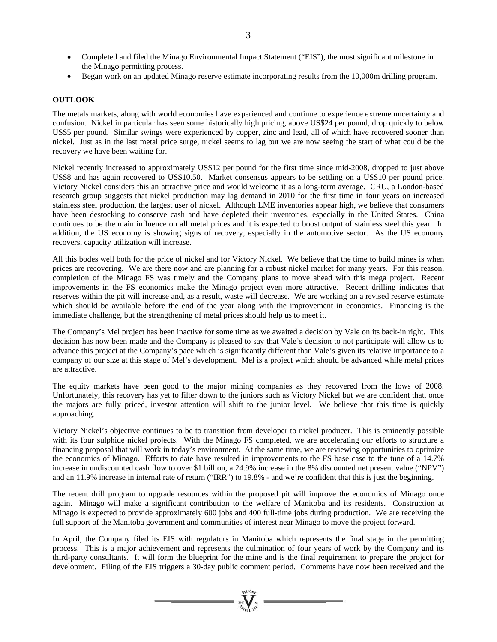- Completed and filed the Minago Environmental Impact Statement ("EIS"), the most significant milestone in the Minago permitting process.
- Began work on an updated Minago reserve estimate incorporating results from the 10,000m drilling program.

# **OUTLOOK**

The metals markets, along with world economies have experienced and continue to experience extreme uncertainty and confusion. Nickel in particular has seen some historically high pricing, above US\$24 per pound, drop quickly to below US\$5 per pound. Similar swings were experienced by copper, zinc and lead, all of which have recovered sooner than nickel. Just as in the last metal price surge, nickel seems to lag but we are now seeing the start of what could be the recovery we have been waiting for.

Nickel recently increased to approximately US\$12 per pound for the first time since mid-2008, dropped to just above US\$8 and has again recovered to US\$10.50. Market consensus appears to be settling on a US\$10 per pound price. Victory Nickel considers this an attractive price and would welcome it as a long-term average. CRU, a London-based research group suggests that nickel production may lag demand in 2010 for the first time in four years on increased stainless steel production, the largest user of nickel. Although LME inventories appear high, we believe that consumers have been destocking to conserve cash and have depleted their inventories, especially in the United States. China continues to be the main influence on all metal prices and it is expected to boost output of stainless steel this year. In addition, the US economy is showing signs of recovery, especially in the automotive sector. As the US economy recovers, capacity utilization will increase.

All this bodes well both for the price of nickel and for Victory Nickel. We believe that the time to build mines is when prices are recovering. We are there now and are planning for a robust nickel market for many years. For this reason, completion of the Minago FS was timely and the Company plans to move ahead with this mega project. Recent improvements in the FS economics make the Minago project even more attractive. Recent drilling indicates that reserves within the pit will increase and, as a result, waste will decrease. We are working on a revised reserve estimate which should be available before the end of the year along with the improvement in economics. Financing is the immediate challenge, but the strengthening of metal prices should help us to meet it.

The Company's Mel project has been inactive for some time as we awaited a decision by Vale on its back-in right. This decision has now been made and the Company is pleased to say that Vale's decision to not participate will allow us to advance this project at the Company's pace which is significantly different than Vale's given its relative importance to a company of our size at this stage of Mel's development. Mel is a project which should be advanced while metal prices are attractive.

The equity markets have been good to the major mining companies as they recovered from the lows of 2008. Unfortunately, this recovery has yet to filter down to the juniors such as Victory Nickel but we are confident that, once the majors are fully priced, investor attention will shift to the junior level. We believe that this time is quickly approaching.

Victory Nickel's objective continues to be to transition from developer to nickel producer. This is eminently possible with its four sulphide nickel projects. With the Minago FS completed, we are accelerating our efforts to structure a financing proposal that will work in today's environment. At the same time, we are reviewing opportunities to optimize the economics of Minago. Efforts to date have resulted in improvements to the FS base case to the tune of a 14.7% increase in undiscounted cash flow to over \$1 billion, a 24.9% increase in the 8% discounted net present value ("NPV") and an 11.9% increase in internal rate of return ("IRR") to 19.8% - and we're confident that this is just the beginning.

The recent drill program to upgrade resources within the proposed pit will improve the economics of Minago once again. Minago will make a significant contribution to the welfare of Manitoba and its residents. Construction at Minago is expected to provide approximately 600 jobs and 400 full-time jobs during production. We are receiving the full support of the Manitoba government and communities of interest near Minago to move the project forward.

In April, the Company filed its EIS with regulators in Manitoba which represents the final stage in the permitting process. This is a major achievement and represents the culmination of four years of work by the Company and its third-party consultants. It will form the blueprint for the mine and is the final requirement to prepare the project for development. Filing of the EIS triggers a 30-day public comment period. Comments have now been received and the

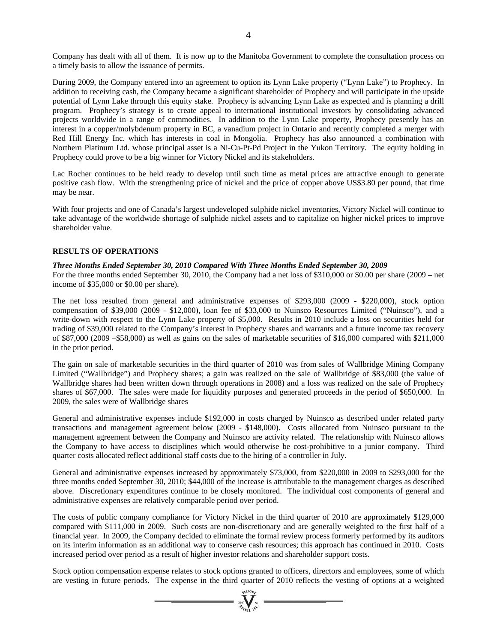Company has dealt with all of them. It is now up to the Manitoba Government to complete the consultation process on a timely basis to allow the issuance of permits.

During 2009, the Company entered into an agreement to option its Lynn Lake property ("Lynn Lake") to Prophecy. In addition to receiving cash, the Company became a significant shareholder of Prophecy and will participate in the upside potential of Lynn Lake through this equity stake. Prophecy is advancing Lynn Lake as expected and is planning a drill program. Prophecy's strategy is to create appeal to international institutional investors by consolidating advanced projects worldwide in a range of commodities. In addition to the Lynn Lake property, Prophecy presently has an interest in a copper/molybdenum property in BC, a vanadium project in Ontario and recently completed a merger with Red Hill Energy Inc. which has interests in coal in Mongolia. Prophecy has also announced a combination with Northern Platinum Ltd. whose principal asset is a Ni-Cu-Pt-Pd Project in the Yukon Territory. The equity holding in Prophecy could prove to be a big winner for Victory Nickel and its stakeholders.

Lac Rocher continues to be held ready to develop until such time as metal prices are attractive enough to generate positive cash flow. With the strengthening price of nickel and the price of copper above US\$3.80 per pound, that time may be near.

With four projects and one of Canada's largest undeveloped sulphide nickel inventories, Victory Nickel will continue to take advantage of the worldwide shortage of sulphide nickel assets and to capitalize on higher nickel prices to improve shareholder value.

# **RESULTS OF OPERATIONS**

# *Three Months Ended September 30, 2010 Compared With Three Months Ended September 30, 2009*

For the three months ended September 30, 2010, the Company had a net loss of \$310,000 or \$0.00 per share (2009 – net income of \$35,000 or \$0.00 per share).

The net loss resulted from general and administrative expenses of \$293,000 (2009 - \$220,000), stock option compensation of \$39,000 (2009 - \$12,000), loan fee of \$33,000 to Nuinsco Resources Limited ("Nuinsco"), and a write-down with respect to the Lynn Lake property of \$5,000. Results in 2010 include a loss on securities held for trading of \$39,000 related to the Company's interest in Prophecy shares and warrants and a future income tax recovery of \$87,000 (2009 –\$58,000) as well as gains on the sales of marketable securities of \$16,000 compared with \$211,000 in the prior period.

The gain on sale of marketable securities in the third quarter of 2010 was from sales of Wallbridge Mining Company Limited ("Wallbridge") and Prophecy shares; a gain was realized on the sale of Wallbridge of \$83,000 (the value of Wallbridge shares had been written down through operations in 2008) and a loss was realized on the sale of Prophecy shares of \$67,000. The sales were made for liquidity purposes and generated proceeds in the period of \$650,000. In 2009, the sales were of Wallbridge shares

General and administrative expenses include \$192,000 in costs charged by Nuinsco as described under related party transactions and management agreement below (2009 - \$148,000). Costs allocated from Nuinsco pursuant to the management agreement between the Company and Nuinsco are activity related. The relationship with Nuinsco allows the Company to have access to disciplines which would otherwise be cost-prohibitive to a junior company. Third quarter costs allocated reflect additional staff costs due to the hiring of a controller in July.

General and administrative expenses increased by approximately \$73,000, from \$220,000 in 2009 to \$293,000 for the three months ended September 30, 2010; \$44,000 of the increase is attributable to the management charges as described above. Discretionary expenditures continue to be closely monitored. The individual cost components of general and administrative expenses are relatively comparable period over period.

The costs of public company compliance for Victory Nickel in the third quarter of 2010 are approximately \$129,000 compared with \$111,000 in 2009. Such costs are non-discretionary and are generally weighted to the first half of a financial year. In 2009, the Company decided to eliminate the formal review process formerly performed by its auditors on its interim information as an additional way to conserve cash resources; this approach has continued in 2010. Costs increased period over period as a result of higher investor relations and shareholder support costs.

Stock option compensation expense relates to stock options granted to officers, directors and employees, some of which are vesting in future periods. The expense in the third quarter of 2010 reflects the vesting of options at a weighted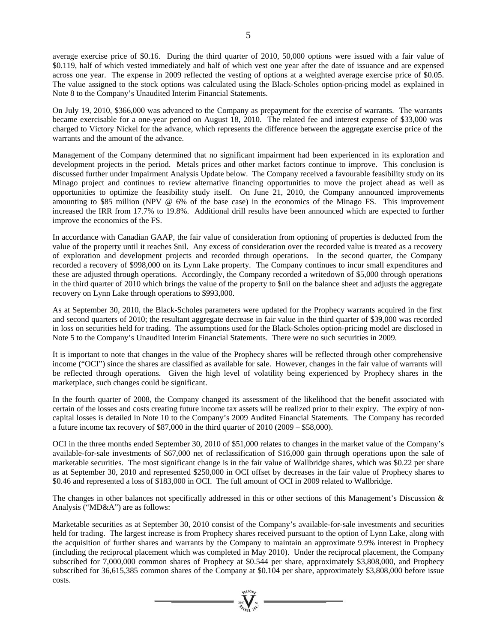average exercise price of \$0.16. During the third quarter of 2010, 50,000 options were issued with a fair value of \$0.119, half of which vested immediately and half of which vest one year after the date of issuance and are expensed across one year. The expense in 2009 reflected the vesting of options at a weighted average exercise price of \$0.05. The value assigned to the stock options was calculated using the Black-Scholes option-pricing model as explained in Note 8 to the Company's Unaudited Interim Financial Statements.

On July 19, 2010, \$366,000 was advanced to the Company as prepayment for the exercise of warrants. The warrants became exercisable for a one-year period on August 18, 2010. The related fee and interest expense of \$33,000 was charged to Victory Nickel for the advance, which represents the difference between the aggregate exercise price of the warrants and the amount of the advance.

Management of the Company determined that no significant impairment had been experienced in its exploration and development projects in the period. Metals prices and other market factors continue to improve. This conclusion is discussed further under Impairment Analysis Update below. The Company received a favourable feasibility study on its Minago project and continues to review alternative financing opportunities to move the project ahead as well as opportunities to optimize the feasibility study itself. On June 21, 2010, the Company announced improvements amounting to \$85 million (NPV @ 6% of the base case) in the economics of the Minago FS. This improvement increased the IRR from 17.7% to 19.8%. Additional drill results have been announced which are expected to further improve the economics of the FS.

In accordance with Canadian GAAP, the fair value of consideration from optioning of properties is deducted from the value of the property until it reaches \$nil. Any excess of consideration over the recorded value is treated as a recovery of exploration and development projects and recorded through operations. In the second quarter, the Company recorded a recovery of \$998,000 on its Lynn Lake property. The Company continues to incur small expenditures and these are adjusted through operations. Accordingly, the Company recorded a writedown of \$5,000 through operations in the third quarter of 2010 which brings the value of the property to \$nil on the balance sheet and adjusts the aggregate recovery on Lynn Lake through operations to \$993,000.

As at September 30, 2010, the Black-Scholes parameters were updated for the Prophecy warrants acquired in the first and second quarters of 2010; the resultant aggregate decrease in fair value in the third quarter of \$39,000 was recorded in loss on securities held for trading. The assumptions used for the Black-Scholes option-pricing model are disclosed in Note 5 to the Company's Unaudited Interim Financial Statements. There were no such securities in 2009.

It is important to note that changes in the value of the Prophecy shares will be reflected through other comprehensive income ("OCI") since the shares are classified as available for sale. However, changes in the fair value of warrants will be reflected through operations. Given the high level of volatility being experienced by Prophecy shares in the marketplace, such changes could be significant.

In the fourth quarter of 2008, the Company changed its assessment of the likelihood that the benefit associated with certain of the losses and costs creating future income tax assets will be realized prior to their expiry. The expiry of noncapital losses is detailed in Note 10 to the Company's 2009 Audited Financial Statements. The Company has recorded a future income tax recovery of \$87,000 in the third quarter of 2010 (2009 – \$58,000).

OCI in the three months ended September 30, 2010 of \$51,000 relates to changes in the market value of the Company's available-for-sale investments of \$67,000 net of reclassification of \$16,000 gain through operations upon the sale of marketable securities. The most significant change is in the fair value of Wallbridge shares, which was \$0.22 per share as at September 30, 2010 and represented \$250,000 in OCI offset by decreases in the fair value of Prophecy shares to \$0.46 and represented a loss of \$183,000 in OCI. The full amount of OCI in 2009 related to Wallbridge.

The changes in other balances not specifically addressed in this or other sections of this Management's Discussion & Analysis ("MD&A") are as follows:

Marketable securities as at September 30, 2010 consist of the Company's available-for-sale investments and securities held for trading. The largest increase is from Prophecy shares received pursuant to the option of Lynn Lake, along with the acquisition of further shares and warrants by the Company to maintain an approximate 9.9% interest in Prophecy (including the reciprocal placement which was completed in May 2010). Under the reciprocal placement, the Company subscribed for 7,000,000 common shares of Prophecy at \$0.544 per share, approximately \$3,808,000, and Prophecy subscribed for 36,615,385 common shares of the Company at \$0.104 per share, approximately \$3,808,000 before issue costs.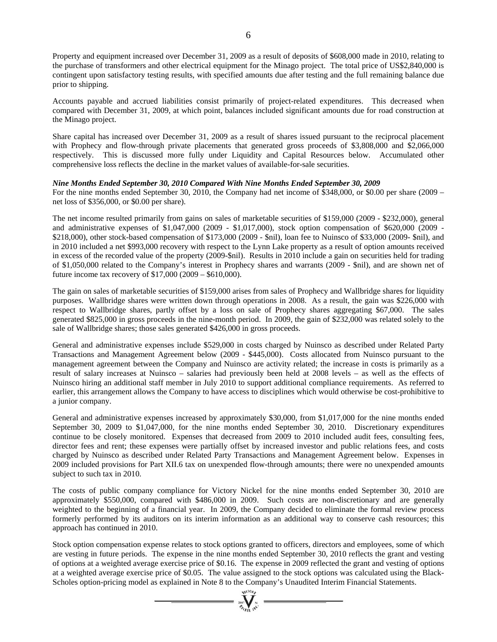Property and equipment increased over December 31, 2009 as a result of deposits of \$608,000 made in 2010, relating to the purchase of transformers and other electrical equipment for the Minago project. The total price of US\$2,840,000 is contingent upon satisfactory testing results, with specified amounts due after testing and the full remaining balance due prior to shipping.

Accounts payable and accrued liabilities consist primarily of project-related expenditures. This decreased when compared with December 31, 2009, at which point, balances included significant amounts due for road construction at the Minago project.

Share capital has increased over December 31, 2009 as a result of shares issued pursuant to the reciprocal placement with Prophecy and flow-through private placements that generated gross proceeds of \$3,808,000 and \$2,066,000 respectively. This is discussed more fully under Liquidity and Capital Resources below. Accumulated other comprehensive loss reflects the decline in the market values of available-for-sale securities.

# *Nine Months Ended September 30, 2010 Compared With Nine Months Ended September 30, 2009*

For the nine months ended September 30, 2010, the Company had net income of \$348,000, or \$0.00 per share (2009 – net loss of \$356,000, or \$0.00 per share).

The net income resulted primarily from gains on sales of marketable securities of \$159,000 (2009 - \$232,000), general and administrative expenses of \$1,047,000 (2009 - \$1,017,000), stock option compensation of \$620,000 (2009 - \$218,000), other stock-based compensation of \$173,000 (2009 - \$nil), loan fee to Nuinsco of \$33,000 (2009- \$nil), and in 2010 included a net \$993,000 recovery with respect to the Lynn Lake property as a result of option amounts received in excess of the recorded value of the property (2009-\$nil). Results in 2010 include a gain on securities held for trading of \$1,050,000 related to the Company's interest in Prophecy shares and warrants (2009 - \$nil), and are shown net of future income tax recovery of \$17,000 (2009 – \$610,000).

The gain on sales of marketable securities of \$159,000 arises from sales of Prophecy and Wallbridge shares for liquidity purposes. Wallbridge shares were written down through operations in 2008. As a result, the gain was \$226,000 with respect to Wallbridge shares, partly offset by a loss on sale of Prophecy shares aggregating \$67,000. The sales generated \$825,000 in gross proceeds in the nine-month period. In 2009, the gain of \$232,000 was related solely to the sale of Wallbridge shares; those sales generated \$426,000 in gross proceeds.

General and administrative expenses include \$529,000 in costs charged by Nuinsco as described under Related Party Transactions and Management Agreement below (2009 - \$445,000). Costs allocated from Nuinsco pursuant to the management agreement between the Company and Nuinsco are activity related; the increase in costs is primarily as a result of salary increases at Nuinsco – salaries had previously been held at 2008 levels – as well as the effects of Nuinsco hiring an additional staff member in July 2010 to support additional compliance requirements. As referred to earlier, this arrangement allows the Company to have access to disciplines which would otherwise be cost-prohibitive to a junior company.

General and administrative expenses increased by approximately \$30,000, from \$1,017,000 for the nine months ended September 30, 2009 to \$1,047,000, for the nine months ended September 30, 2010. Discretionary expenditures continue to be closely monitored. Expenses that decreased from 2009 to 2010 included audit fees, consulting fees, director fees and rent; these expenses were partially offset by increased investor and public relations fees, and costs charged by Nuinsco as described under Related Party Transactions and Management Agreement below. Expenses in 2009 included provisions for Part XII.6 tax on unexpended flow-through amounts; there were no unexpended amounts subject to such tax in 2010.

The costs of public company compliance for Victory Nickel for the nine months ended September 30, 2010 are approximately \$550,000, compared with \$486,000 in 2009. Such costs are non-discretionary and are generally weighted to the beginning of a financial year. In 2009, the Company decided to eliminate the formal review process formerly performed by its auditors on its interim information as an additional way to conserve cash resources; this approach has continued in 2010.

Stock option compensation expense relates to stock options granted to officers, directors and employees, some of which are vesting in future periods. The expense in the nine months ended September 30, 2010 reflects the grant and vesting of options at a weighted average exercise price of \$0.16. The expense in 2009 reflected the grant and vesting of options at a weighted average exercise price of \$0.05. The value assigned to the stock options was calculated using the Black-Scholes option-pricing model as explained in Note 8 to the Company's Unaudited Interim Financial Statements.  $\sum_{n=1}^{\infty}$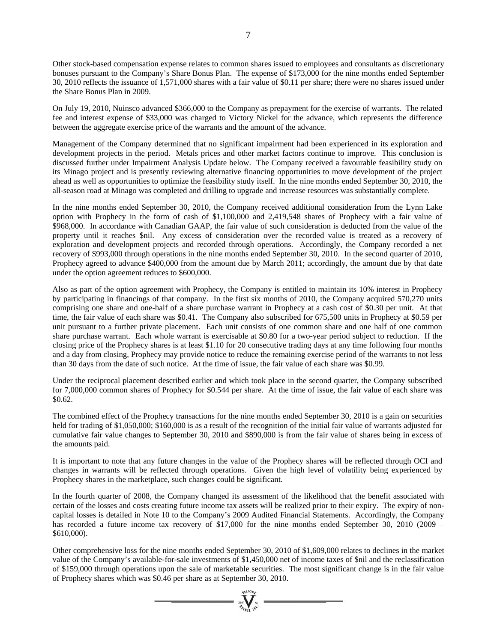Other stock-based compensation expense relates to common shares issued to employees and consultants as discretionary bonuses pursuant to the Company's Share Bonus Plan. The expense of \$173,000 for the nine months ended September 30, 2010 reflects the issuance of 1,571,000 shares with a fair value of \$0.11 per share; there were no shares issued under the Share Bonus Plan in 2009.

On July 19, 2010, Nuinsco advanced \$366,000 to the Company as prepayment for the exercise of warrants. The related fee and interest expense of \$33,000 was charged to Victory Nickel for the advance, which represents the difference between the aggregate exercise price of the warrants and the amount of the advance.

Management of the Company determined that no significant impairment had been experienced in its exploration and development projects in the period. Metals prices and other market factors continue to improve. This conclusion is discussed further under Impairment Analysis Update below. The Company received a favourable feasibility study on its Minago project and is presently reviewing alternative financing opportunities to move development of the project ahead as well as opportunities to optimize the feasibility study itself. In the nine months ended September 30, 2010, the all-season road at Minago was completed and drilling to upgrade and increase resources was substantially complete.

In the nine months ended September 30, 2010, the Company received additional consideration from the Lynn Lake option with Prophecy in the form of cash of \$1,100,000 and 2,419,548 shares of Prophecy with a fair value of \$968,000. In accordance with Canadian GAAP, the fair value of such consideration is deducted from the value of the property until it reaches \$nil. Any excess of consideration over the recorded value is treated as a recovery of exploration and development projects and recorded through operations. Accordingly, the Company recorded a net recovery of \$993,000 through operations in the nine months ended September 30, 2010. In the second quarter of 2010, Prophecy agreed to advance \$400,000 from the amount due by March 2011; accordingly, the amount due by that date under the option agreement reduces to \$600,000.

Also as part of the option agreement with Prophecy, the Company is entitled to maintain its 10% interest in Prophecy by participating in financings of that company. In the first six months of 2010, the Company acquired 570,270 units comprising one share and one-half of a share purchase warrant in Prophecy at a cash cost of \$0.30 per unit. At that time, the fair value of each share was \$0.41. The Company also subscribed for 675,500 units in Prophecy at \$0.59 per unit pursuant to a further private placement. Each unit consists of one common share and one half of one common share purchase warrant. Each whole warrant is exercisable at \$0.80 for a two-year period subject to reduction. If the closing price of the Prophecy shares is at least \$1.10 for 20 consecutive trading days at any time following four months and a day from closing, Prophecy may provide notice to reduce the remaining exercise period of the warrants to not less than 30 days from the date of such notice. At the time of issue, the fair value of each share was \$0.99.

Under the reciprocal placement described earlier and which took place in the second quarter, the Company subscribed for 7,000,000 common shares of Prophecy for \$0.544 per share. At the time of issue, the fair value of each share was \$0.62.

The combined effect of the Prophecy transactions for the nine months ended September 30, 2010 is a gain on securities held for trading of \$1,050,000; \$160,000 is as a result of the recognition of the initial fair value of warrants adjusted for cumulative fair value changes to September 30, 2010 and \$890,000 is from the fair value of shares being in excess of the amounts paid.

It is important to note that any future changes in the value of the Prophecy shares will be reflected through OCI and changes in warrants will be reflected through operations. Given the high level of volatility being experienced by Prophecy shares in the marketplace, such changes could be significant.

In the fourth quarter of 2008, the Company changed its assessment of the likelihood that the benefit associated with certain of the losses and costs creating future income tax assets will be realized prior to their expiry. The expiry of noncapital losses is detailed in Note 10 to the Company's 2009 Audited Financial Statements. Accordingly, the Company has recorded a future income tax recovery of \$17,000 for the nine months ended September 30, 2010 (2009 – \$610,000).

Other comprehensive loss for the nine months ended September 30, 2010 of \$1,609,000 relates to declines in the market value of the Company's available-for-sale investments of \$1,450,000 net of income taxes of \$nil and the reclassification of \$159,000 through operations upon the sale of marketable securities. The most significant change is in the fair value of Prophecy shares which was \$0.46 per share as at September 30, 2010.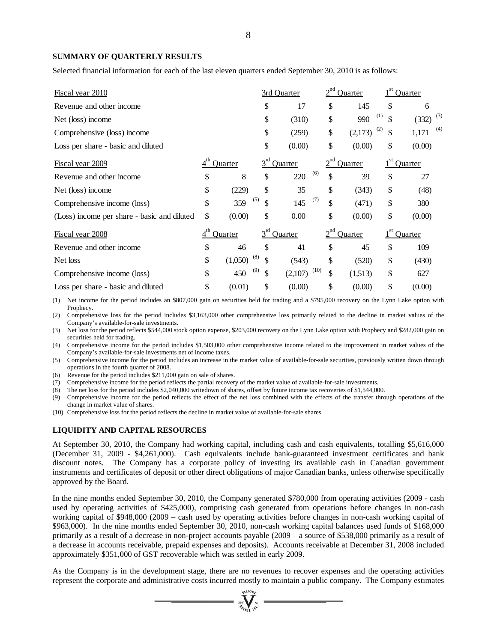#### **SUMMARY OF QUARTERLY RESULTS**

Selected financial information for each of the last eleven quarters ended September 30, 2010 is as follows:

| <u>Fiscal year 2010</u>                     |                 |                |           | 3rd Quarter |            | Quarter |           | Quarter      |
|---------------------------------------------|-----------------|----------------|-----------|-------------|------------|---------|-----------|--------------|
| Revenue and other income                    |                 |                | \$        | 17          | \$         | 145     | \$        | 6            |
| Net (loss) income                           |                 |                | \$        | (310)       | \$         | 990     | (1)<br>\$ | (3)<br>(332) |
| Comprehensive (loss) income                 |                 |                | \$        | (259)       | \$         | (2,173) | (2)<br>\$ | (4)<br>1,171 |
| Loss per share - basic and diluted          |                 |                | \$        | (0.00)      | \$         | (0.00)  | \$        | (0.00)       |
| Fiscal year 2009                            | $4^{\text{th}}$ | <b>Ouarter</b> | $3^{rd}$  | Quarter     | $2^{nd}$   | Quarter |           | Quarter      |
| Revenue and other income                    | \$              | 8              | \$        | 220         | (6)<br>\$  | 39      | \$        | 27           |
| Net (loss) income                           | \$              | (229)          | \$        | 35          | \$         | (343)   | \$        | (48)         |
| Comprehensive income (loss)                 | \$              | 359            | (5)<br>\$ | 145         | (7)<br>\$  | (471)   | \$        | 380          |
| (Loss) income per share - basic and diluted | \$              | (0.00)         | \$        | 0.00        | \$         | (0.00)  | \$        | (0.00)       |
| Fiscal year 2008                            | 4 <sup>th</sup> | Quarter        | $3^{rd}$  | Quarter     | $2^{nd}$   | Quarter |           | Quarter      |
| Revenue and other income                    | \$              | 46             | \$        | 41          | \$         | 45      | \$        | 109          |
| Net loss                                    | \$              | (1,050)        | (8)<br>S  | (543)       | \$         | (520)   | \$        | (430)        |
| Comprehensive income (loss)                 | \$              | 450            | (9)<br>\$ | (2,107)     | (10)<br>\$ | (1,513) | \$        | 627          |
| Loss per share - basic and diluted          | \$              | (0.01)         | \$        | (0.00)      | \$         | (0.00)  | \$        | (0.00)       |

(1) Net income for the period includes an \$807,000 gain on securities held for trading and a \$795,000 recovery on the Lynn Lake option with Prophecy.

(2) Comprehensive loss for the period includes \$3,163,000 other comprehensive loss primarily related to the decline in market values of the Company's available-for-sale investments.

(3) Net loss for the period reflects \$544,000 stock option expense, \$203,000 recovery on the Lynn Lake option with Prophecy and \$282,000 gain on securities held for trading.

(4) Comprehensive income for the period includes \$1,503,000 other comprehensive income related to the improvement in market values of the Company's available-for-sale investments net of income taxes.

(5) Comprehensive income for the period includes an increase in the market value of available-for-sale securities, previously written down through operations in the fourth quarter of 2008.

(6) Revenue for the period includes \$211,000 gain on sale of shares.

(7) Comprehensive income for the period reflects the partial recovery of the market value of available-for-sale investments.

(8) The net loss for the period includes \$2,040,000 writedown of shares, offset by future income tax recoveries of \$1,544,000.

(9) Comprehensive income for the period reflects the effect of the net loss combined with the effects of the transfer through operations of the change in market value of shares.

(10) Comprehensive loss for the period reflects the decline in market value of available-for-sale shares.

# **LIQUIDITY AND CAPITAL RESOURCES**

At September 30, 2010, the Company had working capital, including cash and cash equivalents, totalling \$5,616,000 (December 31, 2009 - \$4,261,000). Cash equivalents include bank-guaranteed investment certificates and bank discount notes. The Company has a corporate policy of investing its available cash in Canadian government instruments and certificates of deposit or other direct obligations of major Canadian banks, unless otherwise specifically approved by the Board.

In the nine months ended September 30, 2010, the Company generated \$780,000 from operating activities (2009 - cash used by operating activities of \$425,000), comprising cash generated from operations before changes in non-cash working capital of \$948,000 (2009 – cash used by operating activities before changes in non-cash working capital of \$963,000). In the nine months ended September 30, 2010, non-cash working capital balances used funds of \$168,000 primarily as a result of a decrease in non-project accounts payable (2009 – a source of \$538,000 primarily as a result of a decrease in accounts receivable, prepaid expenses and deposits). Accounts receivable at December 31, 2008 included approximately \$351,000 of GST recoverable which was settled in early 2009.

As the Company is in the development stage, there are no revenues to recover expenses and the operating activities represent the corporate and administrative costs incurred mostly to maintain a public company. The Company estimates

 $\prod_{i=1}^{N_{\rm{GLO},i}}$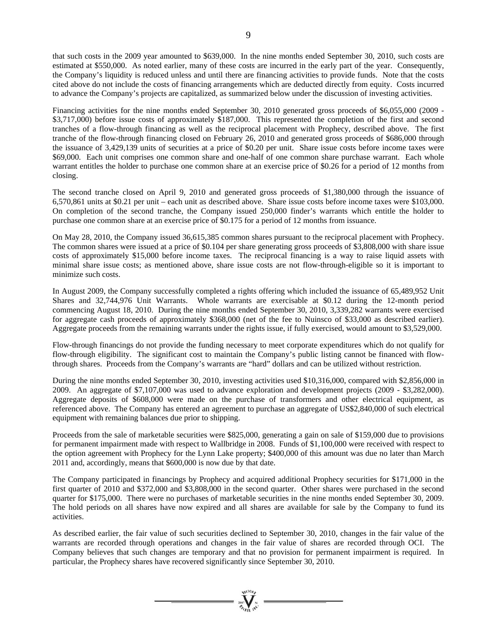that such costs in the 2009 year amounted to \$639,000. In the nine months ended September 30, 2010, such costs are estimated at \$550,000. As noted earlier, many of these costs are incurred in the early part of the year. Consequently, the Company's liquidity is reduced unless and until there are financing activities to provide funds. Note that the costs cited above do not include the costs of financing arrangements which are deducted directly from equity. Costs incurred to advance the Company's projects are capitalized, as summarized below under the discussion of investing activities.

Financing activities for the nine months ended September 30, 2010 generated gross proceeds of \$6,055,000 (2009 -\$3,717,000) before issue costs of approximately \$187,000. This represented the completion of the first and second tranches of a flow-through financing as well as the reciprocal placement with Prophecy, described above. The first tranche of the flow-through financing closed on February 26, 2010 and generated gross proceeds of \$686,000 through the issuance of 3,429,139 units of securities at a price of \$0.20 per unit. Share issue costs before income taxes were \$69,000. Each unit comprises one common share and one-half of one common share purchase warrant. Each whole warrant entitles the holder to purchase one common share at an exercise price of \$0.26 for a period of 12 months from closing.

The second tranche closed on April 9, 2010 and generated gross proceeds of \$1,380,000 through the issuance of 6,570,861 units at \$0.21 per unit – each unit as described above. Share issue costs before income taxes were \$103,000. On completion of the second tranche, the Company issued 250,000 finder's warrants which entitle the holder to purchase one common share at an exercise price of \$0.175 for a period of 12 months from issuance.

On May 28, 2010, the Company issued 36,615,385 common shares pursuant to the reciprocal placement with Prophecy. The common shares were issued at a price of \$0.104 per share generating gross proceeds of \$3,808,000 with share issue costs of approximately \$15,000 before income taxes. The reciprocal financing is a way to raise liquid assets with minimal share issue costs; as mentioned above, share issue costs are not flow-through-eligible so it is important to minimize such costs.

In August 2009, the Company successfully completed a rights offering which included the issuance of 65,489,952 Unit Shares and 32,744,976 Unit Warrants. Whole warrants are exercisable at \$0.12 during the 12-month period commencing August 18, 2010. During the nine months ended September 30, 2010, 3,339,282 warrants were exercised for aggregate cash proceeds of approximately \$368,000 (net of the fee to Nuinsco of \$33,000 as described earlier). Aggregate proceeds from the remaining warrants under the rights issue, if fully exercised, would amount to \$3,529,000.

Flow-through financings do not provide the funding necessary to meet corporate expenditures which do not qualify for flow-through eligibility. The significant cost to maintain the Company's public listing cannot be financed with flowthrough shares. Proceeds from the Company's warrants are "hard" dollars and can be utilized without restriction.

During the nine months ended September 30, 2010, investing activities used \$10,316,000, compared with \$2,856,000 in 2009. An aggregate of \$7,107,000 was used to advance exploration and development projects (2009 - \$3,282,000). Aggregate deposits of \$608,000 were made on the purchase of transformers and other electrical equipment, as referenced above. The Company has entered an agreement to purchase an aggregate of US\$2,840,000 of such electrical equipment with remaining balances due prior to shipping.

Proceeds from the sale of marketable securities were \$825,000, generating a gain on sale of \$159,000 due to provisions for permanent impairment made with respect to Wallbridge in 2008. Funds of \$1,100,000 were received with respect to the option agreement with Prophecy for the Lynn Lake property; \$400,000 of this amount was due no later than March 2011 and, accordingly, means that \$600,000 is now due by that date.

The Company participated in financings by Prophecy and acquired additional Prophecy securities for \$171,000 in the first quarter of 2010 and \$372,000 and \$3,808,000 in the second quarter. Other shares were purchased in the second quarter for \$175,000. There were no purchases of marketable securities in the nine months ended September 30, 2009. The hold periods on all shares have now expired and all shares are available for sale by the Company to fund its activities.

As described earlier, the fair value of such securities declined to September 30, 2010, changes in the fair value of the warrants are recorded through operations and changes in the fair value of shares are recorded through OCI. The Company believes that such changes are temporary and that no provision for permanent impairment is required. In particular, the Prophecy shares have recovered significantly since September 30, 2010.

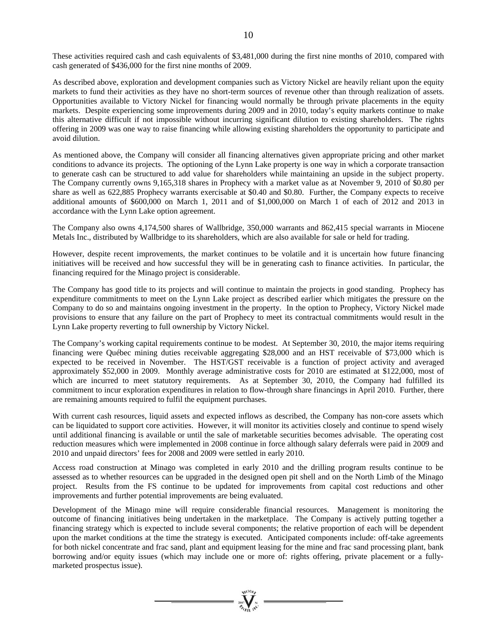These activities required cash and cash equivalents of \$3,481,000 during the first nine months of 2010, compared with cash generated of \$436,000 for the first nine months of 2009.

As described above, exploration and development companies such as Victory Nickel are heavily reliant upon the equity markets to fund their activities as they have no short-term sources of revenue other than through realization of assets. Opportunities available to Victory Nickel for financing would normally be through private placements in the equity markets. Despite experiencing some improvements during 2009 and in 2010, today's equity markets continue to make this alternative difficult if not impossible without incurring significant dilution to existing shareholders. The rights offering in 2009 was one way to raise financing while allowing existing shareholders the opportunity to participate and avoid dilution.

As mentioned above, the Company will consider all financing alternatives given appropriate pricing and other market conditions to advance its projects. The optioning of the Lynn Lake property is one way in which a corporate transaction to generate cash can be structured to add value for shareholders while maintaining an upside in the subject property. The Company currently owns 9,165,318 shares in Prophecy with a market value as at November 9, 2010 of \$0.80 per share as well as 622,885 Prophecy warrants exercisable at \$0.40 and \$0.80. Further, the Company expects to receive additional amounts of \$600,000 on March 1, 2011 and of \$1,000,000 on March 1 of each of 2012 and 2013 in accordance with the Lynn Lake option agreement.

The Company also owns 4,174,500 shares of Wallbridge, 350,000 warrants and 862,415 special warrants in Miocene Metals Inc., distributed by Wallbridge to its shareholders, which are also available for sale or held for trading.

However, despite recent improvements, the market continues to be volatile and it is uncertain how future financing initiatives will be received and how successful they will be in generating cash to finance activities. In particular, the financing required for the Minago project is considerable.

The Company has good title to its projects and will continue to maintain the projects in good standing. Prophecy has expenditure commitments to meet on the Lynn Lake project as described earlier which mitigates the pressure on the Company to do so and maintains ongoing investment in the property. In the option to Prophecy, Victory Nickel made provisions to ensure that any failure on the part of Prophecy to meet its contractual commitments would result in the Lynn Lake property reverting to full ownership by Victory Nickel.

The Company's working capital requirements continue to be modest. At September 30, 2010, the major items requiring financing were Québec mining duties receivable aggregating \$28,000 and an HST receivable of \$73,000 which is expected to be received in November. The HST/GST receivable is a function of project activity and averaged approximately \$52,000 in 2009. Monthly average administrative costs for 2010 are estimated at \$122,000, most of which are incurred to meet statutory requirements. As at September 30, 2010, the Company had fulfilled its commitment to incur exploration expenditures in relation to flow-through share financings in April 2010. Further, there are remaining amounts required to fulfil the equipment purchases.

With current cash resources, liquid assets and expected inflows as described, the Company has non-core assets which can be liquidated to support core activities. However, it will monitor its activities closely and continue to spend wisely until additional financing is available or until the sale of marketable securities becomes advisable. The operating cost reduction measures which were implemented in 2008 continue in force although salary deferrals were paid in 2009 and 2010 and unpaid directors' fees for 2008 and 2009 were settled in early 2010.

Access road construction at Minago was completed in early 2010 and the drilling program results continue to be assessed as to whether resources can be upgraded in the designed open pit shell and on the North Limb of the Minago project. Results from the FS continue to be updated for improvements from capital cost reductions and other improvements and further potential improvements are being evaluated.

Development of the Minago mine will require considerable financial resources. Management is monitoring the outcome of financing initiatives being undertaken in the marketplace. The Company is actively putting together a financing strategy which is expected to include several components; the relative proportion of each will be dependent upon the market conditions at the time the strategy is executed. Anticipated components include: off-take agreements for both nickel concentrate and frac sand, plant and equipment leasing for the mine and frac sand processing plant, bank borrowing and/or equity issues (which may include one or more of: rights offering, private placement or a fullymarketed prospectus issue).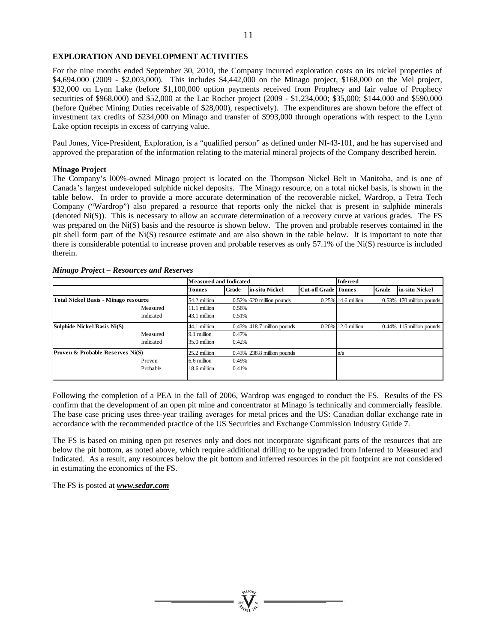# **EXPLORATION AND DEVELOPMENT ACTIVITIES**

For the nine months ended September 30, 2010, the Company incurred exploration costs on its nickel properties of \$4,694,000 (2009 - \$2,003,000). This includes \$4,442,000 on the Minago project, \$168,000 on the Mel project, \$32,000 on Lynn Lake (before \$1,100,000 option payments received from Prophecy and fair value of Prophecy securities of \$968,000) and \$52,000 at the Lac Rocher project (2009 - \$1,234,000; \$35,000; \$144,000 and \$590,000 (before Québec Mining Duties receivable of \$28,000), respectively). The expenditures are shown before the effect of investment tax credits of \$234,000 on Minago and transfer of \$993,000 through operations with respect to the Lynn Lake option receipts in excess of carrying value.

Paul Jones, Vice-President, Exploration, is a "qualified person" as defined under NI-43-101, and he has supervised and approved the preparation of the information relating to the material mineral projects of the Company described herein.

# **Minago Project**

The Company's l00%-owned Minago project is located on the Thompson Nickel Belt in Manitoba, and is one of Canada's largest undeveloped sulphide nickel deposits. The Minago resource, on a total nickel basis, is shown in the table below. In order to provide a more accurate determination of the recoverable nickel, Wardrop, a Tetra Tech Company ("Wardrop") also prepared a resource that reports only the nickel that is present in sulphide minerals (denoted Ni(S)). This is necessary to allow an accurate determination of a recovery curve at various grades. The FS was prepared on the Ni(S) basis and the resource is shown below. The proven and probable reserves contained in the pit shell form part of the Ni(S) resource estimate and are also shown in the table below. It is important to note that there is considerable potential to increase proven and probable reserves as only 57.1% of the Ni(S) resource is included therein.

#### *Minago Project – Resources and Reserves*

|                                      | <b>Measured and Indicated</b> |       | <b>Inferred</b>               |                             |                    |              |                             |
|--------------------------------------|-------------------------------|-------|-------------------------------|-----------------------------|--------------------|--------------|-----------------------------|
|                                      | <b>Tonnes</b>                 | Grade | in-situ Nickel                | <b>Cut-off Grade Tonnes</b> |                    | <b>Grade</b> | in-situ Nickel              |
| Total Nickel Basis - Minago resource | 54.2 million                  |       | $0.52\%$ 620 million pounds   |                             | 0.25% 14.6 million |              | 0.53% 170 million pounds    |
| Measured                             | 11.1 million                  | 0.56% |                               |                             |                    |              |                             |
| Indicated                            | 43.1 million                  | 0.51% |                               |                             |                    |              |                             |
| Sulphide Nickel Basis Ni(S)          | 44.1 million                  |       | $0.43\%$ 418.7 million pounds |                             | 0.20% 12.0 million |              | $0.44\%$ 115 million pounds |
| Measured                             | 1 million<br><b>9.</b>        | 0.47% |                               |                             |                    |              |                             |
| Indicated                            | 35.0 million                  | 0.42% |                               |                             |                    |              |                             |
| Proven & Probable Reserves Ni(S)     | 25.2 million                  |       | $0.43\%$ 238.8 million pounds |                             | n/a                |              |                             |
| Proven                               | 6.6 million                   | 0.49% |                               |                             |                    |              |                             |
| Probable                             | 18.6 million                  | 0.41% |                               |                             |                    |              |                             |
|                                      |                               |       |                               |                             |                    |              |                             |

Following the completion of a PEA in the fall of 2006, Wardrop was engaged to conduct the FS. Results of the FS confirm that the development of an open pit mine and concentrator at Minago is technically and commercially feasible. The base case pricing uses three-year trailing averages for metal prices and the US: Canadian dollar exchange rate in accordance with the recommended practice of the US Securities and Exchange Commission Industry Guide 7.

The FS is based on mining open pit reserves only and does not incorporate significant parts of the resources that are below the pit bottom, as noted above, which require additional drilling to be upgraded from Inferred to Measured and Indicated. As a result, any resources below the pit bottom and inferred resources in the pit footprint are not considered in estimating the economics of the FS.

The FS is posted at *www.sedar.com*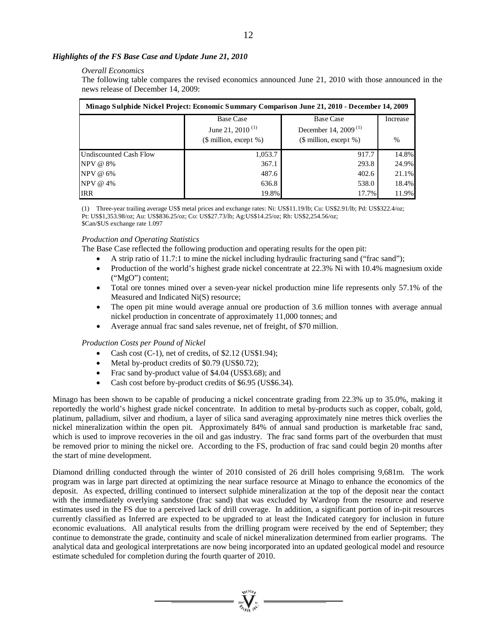# *Highlights of the FS Base Case and Update June 21, 2010*

### *Overall Economics*

The following table compares the revised economics announced June 21, 2010 with those announced in the news release of December 14, 2009:

| Minago Sulphide Nickel Project: Economic Summary Comparison June 21, 2010 - December 14, 2009 |                              |                                  |                 |  |  |  |  |  |
|-----------------------------------------------------------------------------------------------|------------------------------|----------------------------------|-----------------|--|--|--|--|--|
|                                                                                               | <b>Base Case</b>             | <b>Base Case</b>                 | <b>Increase</b> |  |  |  |  |  |
|                                                                                               | June 21, 2010 <sup>(1)</sup> | December 14, 2009 <sup>(1)</sup> |                 |  |  |  |  |  |
|                                                                                               | $$$ million, except $%$ )    | $(\$$ million, except $%$ )      | $\%$            |  |  |  |  |  |
| Undiscounted Cash Flow                                                                        | 1,053.7                      | 917.7                            | 14.8%           |  |  |  |  |  |
| $NPV @ 8\%$                                                                                   | 367.1                        | 293.8                            | 24.9%           |  |  |  |  |  |
| $NPV @ 6\%$                                                                                   | 487.6                        | 402.6                            | 21.1%           |  |  |  |  |  |
| NPV @ 4%                                                                                      | 636.8                        | 538.0                            | 18.4%           |  |  |  |  |  |
| <b>IRR</b>                                                                                    | 19.8%                        | 17.7%                            | 11.9%           |  |  |  |  |  |

(1) Three-year trailing average US\$ metal prices and exchange rates: Ni: US\$11.19/lb; Cu: US\$2.91/lb; Pd: US\$322.4/oz; Pt: US\$1,353.98/oz; Au: US\$836.25/oz; Co: US\$27.73/lb; Ag:US\$14.25/oz; Rh: US\$2,254.56/oz; \$Can/\$US exchange rate 1.097

#### *Production and Operating Statistics*

The Base Case reflected the following production and operating results for the open pit:

- A strip ratio of 11.7:1 to mine the nickel including hydraulic fracturing sand ("frac sand");
- Production of the world's highest grade nickel concentrate at 22.3% Ni with 10.4% magnesium oxide ("MgO") content;
- Total ore tonnes mined over a seven-year nickel production mine life represents only 57.1% of the Measured and Indicated Ni(S) resource;
- The open pit mine would average annual ore production of 3.6 million tonnes with average annual nickel production in concentrate of approximately 11,000 tonnes; and
- Average annual frac sand sales revenue, net of freight, of \$70 million.

# *Production Costs per Pound of Nickel*

- Cash cost (C-1), net of credits, of \$2.12 (US\$1.94);
- Metal by-product credits of \$0.79 (US\$0.72);
- Frac sand by-product value of \$4.04 (US\$3.68); and
- Cash cost before by-product credits of \$6.95 (US\$6.34).

Minago has been shown to be capable of producing a nickel concentrate grading from 22.3% up to 35.0%, making it reportedly the world's highest grade nickel concentrate. In addition to metal by-products such as copper, cobalt, gold, platinum, palladium, silver and rhodium, a layer of silica sand averaging approximately nine metres thick overlies the nickel mineralization within the open pit. Approximately 84% of annual sand production is marketable frac sand, which is used to improve recoveries in the oil and gas industry. The frac sand forms part of the overburden that must be removed prior to mining the nickel ore. According to the FS, production of frac sand could begin 20 months after the start of mine development.

Diamond drilling conducted through the winter of 2010 consisted of 26 drill holes comprising 9,681m. The work program was in large part directed at optimizing the near surface resource at Minago to enhance the economics of the deposit. As expected, drilling continued to intersect sulphide mineralization at the top of the deposit near the contact with the immediately overlying sandstone (frac sand) that was excluded by Wardrop from the resource and reserve estimates used in the FS due to a perceived lack of drill coverage. In addition, a significant portion of in-pit resources currently classified as Inferred are expected to be upgraded to at least the Indicated category for inclusion in future economic evaluations. All analytical results from the drilling program were received by the end of September; they continue to demonstrate the grade, continuity and scale of nickel mineralization determined from earlier programs. The analytical data and geological interpretations are now being incorporated into an updated geological model and resource estimate scheduled for completion during the fourth quarter of 2010.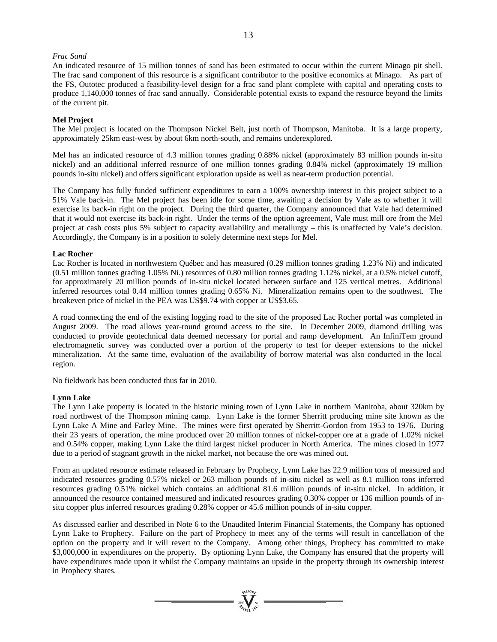# *Frac Sand*

An indicated resource of 15 million tonnes of sand has been estimated to occur within the current Minago pit shell. The frac sand component of this resource is a significant contributor to the positive economics at Minago. As part of the FS, Outotec produced a feasibility-level design for a frac sand plant complete with capital and operating costs to produce 1,140,000 tonnes of frac sand annually. Considerable potential exists to expand the resource beyond the limits of the current pit.

# **Mel Project**

The Mel project is located on the Thompson Nickel Belt, just north of Thompson, Manitoba. It is a large property, approximately 25km east-west by about 6km north-south, and remains underexplored.

Mel has an indicated resource of 4.3 million tonnes grading 0.88% nickel (approximately 83 million pounds in-situ nickel) and an additional inferred resource of one million tonnes grading 0.84% nickel (approximately 19 million pounds in-situ nickel) and offers significant exploration upside as well as near-term production potential.

The Company has fully funded sufficient expenditures to earn a 100% ownership interest in this project subject to a 51% Vale back-in. The Mel project has been idle for some time, awaiting a decision by Vale as to whether it will exercise its back-in right on the project. During the third quarter, the Company announced that Vale had determined that it would not exercise its back-in right. Under the terms of the option agreement, Vale must mill ore from the Mel project at cash costs plus 5% subject to capacity availability and metallurgy – this is unaffected by Vale's decision. Accordingly, the Company is in a position to solely determine next steps for Mel.

# **Lac Rocher**

Lac Rocher is located in northwestern Québec and has measured (0.29 million tonnes grading 1.23% Ni) and indicated (0.51 million tonnes grading 1.05% Ni.) resources of 0.80 million tonnes grading 1.12% nickel, at a 0.5% nickel cutoff, for approximately 20 million pounds of in-situ nickel located between surface and 125 vertical metres. Additional inferred resources total 0.44 million tonnes grading 0.65% Ni. Mineralization remains open to the southwest. The breakeven price of nickel in the PEA was US\$9.74 with copper at US\$3.65.

A road connecting the end of the existing logging road to the site of the proposed Lac Rocher portal was completed in August 2009. The road allows year-round ground access to the site. In December 2009, diamond drilling was conducted to provide geotechnical data deemed necessary for portal and ramp development. An InfiniTem ground electromagnetic survey was conducted over a portion of the property to test for deeper extensions to the nickel mineralization. At the same time, evaluation of the availability of borrow material was also conducted in the local region.

No fieldwork has been conducted thus far in 2010.

# **Lynn Lake**

The Lynn Lake property is located in the historic mining town of Lynn Lake in northern Manitoba, about 320km by road northwest of the Thompson mining camp. Lynn Lake is the former Sherritt producing mine site known as the Lynn Lake A Mine and Farley Mine. The mines were first operated by Sherritt-Gordon from 1953 to 1976. During their 23 years of operation, the mine produced over 20 million tonnes of nickel-copper ore at a grade of 1.02% nickel and 0.54% copper, making Lynn Lake the third largest nickel producer in North America. The mines closed in 1977 due to a period of stagnant growth in the nickel market, not because the ore was mined out.

From an updated resource estimate released in February by Prophecy, Lynn Lake has 22.9 million tons of measured and indicated resources grading 0.57% nickel or 263 million pounds of in-situ nickel as well as 8.1 million tons inferred resources grading 0.51% nickel which contains an additional 81.6 million pounds of in-situ nickel. In addition, it announced the resource contained measured and indicated resources grading 0.30% copper or 136 million pounds of insitu copper plus inferred resources grading 0.28% copper or 45.6 million pounds of in-situ copper.

As discussed earlier and described in Note 6 to the Unaudited Interim Financial Statements, the Company has optioned Lynn Lake to Prophecy. Failure on the part of Prophecy to meet any of the terms will result in cancellation of the option on the property and it will revert to the Company. Among other things, Prophecy has committed to make \$3,000,000 in expenditures on the property. By optioning Lynn Lake, the Company has ensured that the property will have expenditures made upon it whilst the Company maintains an upside in the property through its ownership interest in Prophecy shares.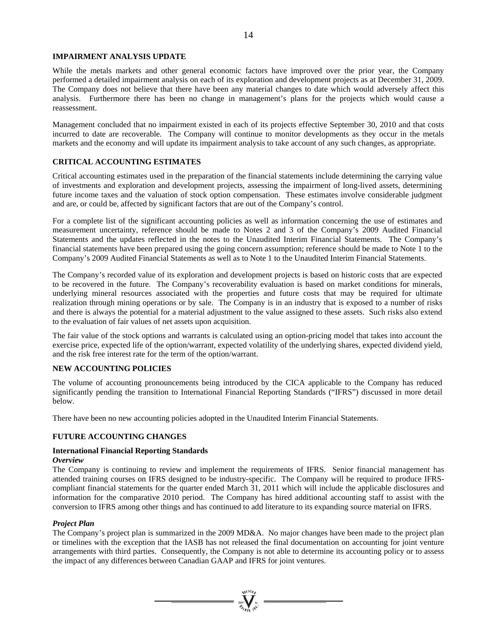# **IMPAIRMENT ANALYSIS UPDATE**

While the metals markets and other general economic factors have improved over the prior year, the Company performed a detailed impairment analysis on each of its exploration and development projects as at December 31, 2009. The Company does not believe that there have been any material changes to date which would adversely affect this analysis. Furthermore there has been no change in management's plans for the projects which would cause a reassessment.

Management concluded that no impairment existed in each of its projects effective September 30, 2010 and that costs incurred to date are recoverable. The Company will continue to monitor developments as they occur in the metals markets and the economy and will update its impairment analysis to take account of any such changes, as appropriate.

# **CRITICAL ACCOUNTING ESTIMATES**

Critical accounting estimates used in the preparation of the financial statements include determining the carrying value of investments and exploration and development projects, assessing the impairment of long-lived assets, determining future income taxes and the valuation of stock option compensation. These estimates involve considerable judgment and are, or could be, affected by significant factors that are out of the Company's control.

For a complete list of the significant accounting policies as well as information concerning the use of estimates and measurement uncertainty, reference should be made to Notes 2 and 3 of the Company's 2009 Audited Financial Statements and the updates reflected in the notes to the Unaudited Interim Financial Statements. The Company's financial statements have been prepared using the going concern assumption; reference should be made to Note 1 to the Company's 2009 Audited Financial Statements as well as to Note 1 to the Unaudited Interim Financial Statements.

The Company's recorded value of its exploration and development projects is based on historic costs that are expected to be recovered in the future. The Company's recoverability evaluation is based on market conditions for minerals, underlying mineral resources associated with the properties and future costs that may be required for ultimate realization through mining operations or by sale. The Company is in an industry that is exposed to a number of risks and there is always the potential for a material adjustment to the value assigned to these assets. Such risks also extend to the evaluation of fair values of net assets upon acquisition.

The fair value of the stock options and warrants is calculated using an option-pricing model that takes into account the exercise price, expected life of the option/warrant, expected volatility of the underlying shares, expected dividend yield, and the risk free interest rate for the term of the option/warrant.

# **NEW ACCOUNTING POLICIES**

The volume of accounting pronouncements being introduced by the CICA applicable to the Company has reduced significantly pending the transition to International Financial Reporting Standards ("IFRS") discussed in more detail below.

There have been no new accounting policies adopted in the Unaudited Interim Financial Statements.

# **FUTURE ACCOUNTING CHANGES**

#### **International Financial Reporting Standards**  *Overview*

The Company is continuing to review and implement the requirements of IFRS. Senior financial management has attended training courses on IFRS designed to be industry-specific. The Company will be required to produce IFRScompliant financial statements for the quarter ended March 31, 2011 which will include the applicable disclosures and information for the comparative 2010 period. The Company has hired additional accounting staff to assist with the conversion to IFRS among other things and has continued to add literature to its expanding source material on IFRS.

# *Project Plan*

The Company's project plan is summarized in the 2009 MD&A. No major changes have been made to the project plan or timelines with the exception that the IASB has not released the final documentation on accounting for joint venture arrangements with third parties. Consequently, the Company is not able to determine its accounting policy or to assess the impact of any differences between Canadian GAAP and IFRS for joint ventures.

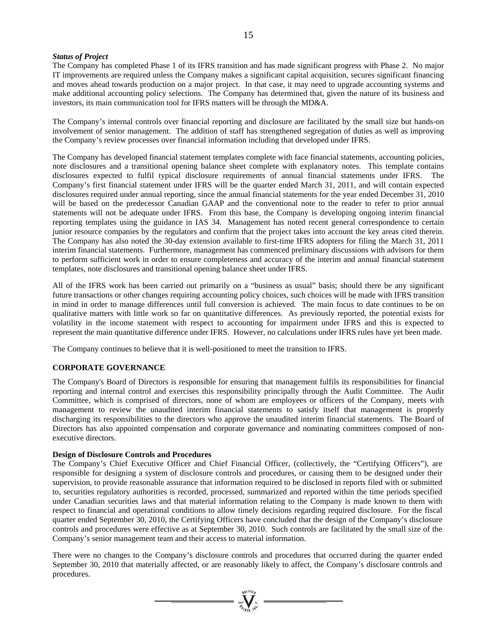# *Status of Project*

The Company has completed Phase 1 of its IFRS transition and has made significant progress with Phase 2. No major IT improvements are required unless the Company makes a significant capital acquisition, secures significant financing and moves ahead towards production on a major project. In that case, it may need to upgrade accounting systems and make additional accounting policy selections. The Company has determined that, given the nature of its business and investors, its main communication tool for IFRS matters will be through the MD&A.

The Company's internal controls over financial reporting and disclosure are facilitated by the small size but hands-on involvement of senior management. The addition of staff has strengthened segregation of duties as well as improving the Company's review processes over financial information including that developed under IFRS.

The Company has developed financial statement templates complete with face financial statements, accounting policies, note disclosures and a transitional opening balance sheet complete with explanatory notes. This template contains disclosures expected to fulfil typical disclosure requirements of annual financial statements under IFRS. The Company's first financial statement under IFRS will be the quarter ended March 31, 2011, and will contain expected disclosures required under annual reporting, since the annual financial statements for the year ended December 31, 2010 will be based on the predecessor Canadian GAAP and the conventional note to the reader to refer to prior annual statements will not be adequate under IFRS. From this base, the Company is developing ongoing interim financial reporting templates using the guidance in IAS 34. Management has noted recent general correspondence to certain junior resource companies by the regulators and confirm that the project takes into account the key areas cited therein. The Company has also noted the 30-day extension available to first-time IFRS adopters for filing the March 31, 2011 interim financial statements. Furthermore, management has commenced preliminary discussions with advisors for them to perform sufficient work in order to ensure completeness and accuracy of the interim and annual financial statement templates, note disclosures and transitional opening balance sheet under IFRS.

All of the IFRS work has been carried out primarily on a "business as usual" basis; should there be any significant future transactions or other changes requiring accounting policy choices, such choices will be made with IFRS transition in mind in order to manage differences until full conversion is achieved. The main focus to date continues to be on qualitative matters with little work so far on quantitative differences. As previously reported, the potential exists for volatility in the income statement with respect to accounting for impairment under IFRS and this is expected to represent the main quantitative difference under IFRS. However, no calculations under IFRS rules have yet been made.

The Company continues to believe that it is well-positioned to meet the transition to IFRS.

# **CORPORATE GOVERNANCE**

The Company's Board of Directors is responsible for ensuring that management fulfils its responsibilities for financial reporting and internal control and exercises this responsibility principally through the Audit Committee. The Audit Committee, which is comprised of directors, none of whom are employees or officers of the Company, meets with management to review the unaudited interim financial statements to satisfy itself that management is properly discharging its responsibilities to the directors who approve the unaudited interim financial statements. The Board of Directors has also appointed compensation and corporate governance and nominating committees composed of nonexecutive directors.

# **Design of Disclosure Controls and Procedures**

The Company's Chief Executive Officer and Chief Financial Officer, (collectively, the "Certifying Officers"), are responsible for designing a system of disclosure controls and procedures, or causing them to be designed under their supervision, to provide reasonable assurance that information required to be disclosed in reports filed with or submitted to, securities regulatory authorities is recorded, processed, summarized and reported within the time periods specified under Canadian securities laws and that material information relating to the Company is made known to them with respect to financial and operational conditions to allow timely decisions regarding required disclosure. For the fiscal quarter ended September 30, 2010, the Certifying Officers have concluded that the design of the Company's disclosure controls and procedures were effective as at September 30, 2010. Such controls are facilitated by the small size of the Company's senior management team and their access to material information.

There were no changes to the Company's disclosure controls and procedures that occurred during the quarter ended September 30, 2010 that materially affected, or are reasonably likely to affect, the Company's disclosure controls and procedures.

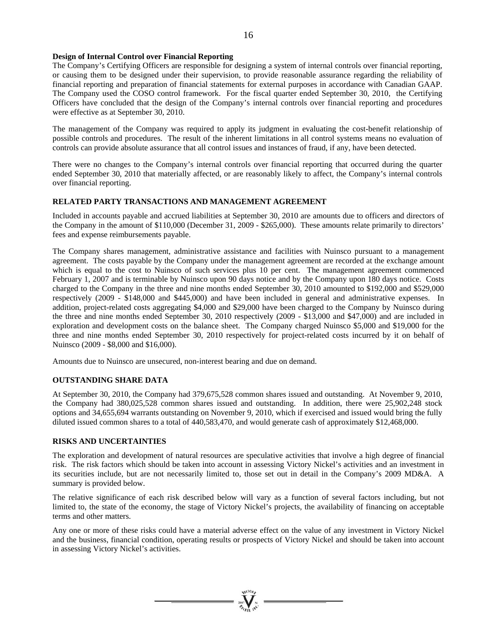# **Design of Internal Control over Financial Reporting**

The Company's Certifying Officers are responsible for designing a system of internal controls over financial reporting, or causing them to be designed under their supervision, to provide reasonable assurance regarding the reliability of financial reporting and preparation of financial statements for external purposes in accordance with Canadian GAAP. The Company used the COSO control framework. For the fiscal quarter ended September 30, 2010, the Certifying Officers have concluded that the design of the Company's internal controls over financial reporting and procedures were effective as at September 30, 2010.

The management of the Company was required to apply its judgment in evaluating the cost-benefit relationship of possible controls and procedures. The result of the inherent limitations in all control systems means no evaluation of controls can provide absolute assurance that all control issues and instances of fraud, if any, have been detected.

There were no changes to the Company's internal controls over financial reporting that occurred during the quarter ended September 30, 2010 that materially affected, or are reasonably likely to affect, the Company's internal controls over financial reporting.

# **RELATED PARTY TRANSACTIONS AND MANAGEMENT AGREEMENT**

Included in accounts payable and accrued liabilities at September 30, 2010 are amounts due to officers and directors of the Company in the amount of \$110,000 (December 31, 2009 - \$265,000). These amounts relate primarily to directors' fees and expense reimbursements payable.

The Company shares management, administrative assistance and facilities with Nuinsco pursuant to a management agreement. The costs payable by the Company under the management agreement are recorded at the exchange amount which is equal to the cost to Nuinsco of such services plus 10 per cent. The management agreement commenced February 1, 2007 and is terminable by Nuinsco upon 90 days notice and by the Company upon 180 days notice. Costs charged to the Company in the three and nine months ended September 30, 2010 amounted to \$192,000 and \$529,000 respectively (2009 - \$148,000 and \$445,000) and have been included in general and administrative expenses. In addition, project-related costs aggregating \$4,000 and \$29,000 have been charged to the Company by Nuinsco during the three and nine months ended September 30, 2010 respectively (2009 - \$13,000 and \$47,000) and are included in exploration and development costs on the balance sheet. The Company charged Nuinsco \$5,000 and \$19,000 for the three and nine months ended September 30, 2010 respectively for project-related costs incurred by it on behalf of Nuinsco (2009 - \$8,000 and \$16,000).

Amounts due to Nuinsco are unsecured, non-interest bearing and due on demand.

# **OUTSTANDING SHARE DATA**

At September 30, 2010, the Company had 379,675,528 common shares issued and outstanding. At November 9, 2010, the Company had 380,025,528 common shares issued and outstanding. In addition, there were 25,902,248 stock options and 34,655,694 warrants outstanding on November 9, 2010, which if exercised and issued would bring the fully diluted issued common shares to a total of 440,583,470, and would generate cash of approximately \$12,468,000.

# **RISKS AND UNCERTAINTIES**

The exploration and development of natural resources are speculative activities that involve a high degree of financial risk. The risk factors which should be taken into account in assessing Victory Nickel's activities and an investment in its securities include, but are not necessarily limited to, those set out in detail in the Company's 2009 MD&A. A summary is provided below.

The relative significance of each risk described below will vary as a function of several factors including, but not limited to, the state of the economy, the stage of Victory Nickel's projects, the availability of financing on acceptable terms and other matters.

Any one or more of these risks could have a material adverse effect on the value of any investment in Victory Nickel and the business, financial condition, operating results or prospects of Victory Nickel and should be taken into account in assessing Victory Nickel's activities.



16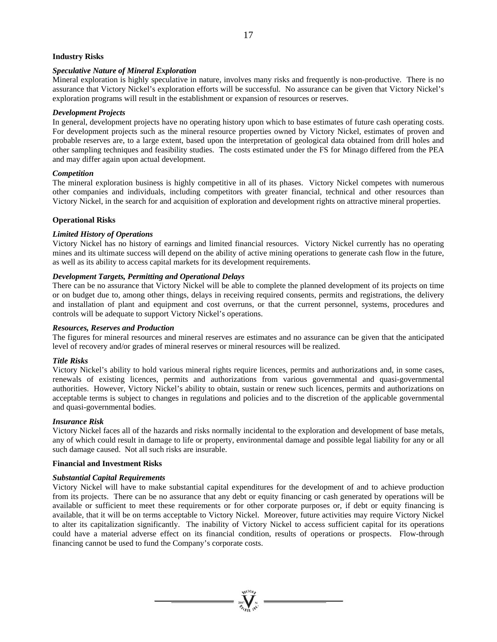# **Industry Risks**

# *Speculative Nature of Mineral Exploration*

Mineral exploration is highly speculative in nature, involves many risks and frequently is non-productive. There is no assurance that Victory Nickel's exploration efforts will be successful. No assurance can be given that Victory Nickel's exploration programs will result in the establishment or expansion of resources or reserves.

# *Development Projects*

In general, development projects have no operating history upon which to base estimates of future cash operating costs. For development projects such as the mineral resource properties owned by Victory Nickel, estimates of proven and probable reserves are, to a large extent, based upon the interpretation of geological data obtained from drill holes and other sampling techniques and feasibility studies. The costs estimated under the FS for Minago differed from the PEA and may differ again upon actual development.

# *Competition*

The mineral exploration business is highly competitive in all of its phases. Victory Nickel competes with numerous other companies and individuals, including competitors with greater financial, technical and other resources than Victory Nickel, in the search for and acquisition of exploration and development rights on attractive mineral properties.

# **Operational Risks**

# *Limited History of Operations*

Victory Nickel has no history of earnings and limited financial resources. Victory Nickel currently has no operating mines and its ultimate success will depend on the ability of active mining operations to generate cash flow in the future, as well as its ability to access capital markets for its development requirements.

# *Development Targets, Permitting and Operational Delays*

There can be no assurance that Victory Nickel will be able to complete the planned development of its projects on time or on budget due to, among other things, delays in receiving required consents, permits and registrations, the delivery and installation of plant and equipment and cost overruns, or that the current personnel, systems, procedures and controls will be adequate to support Victory Nickel's operations.

# *Resources, Reserves and Production*

The figures for mineral resources and mineral reserves are estimates and no assurance can be given that the anticipated level of recovery and/or grades of mineral reserves or mineral resources will be realized.

# *Title Risks*

Victory Nickel's ability to hold various mineral rights require licences, permits and authorizations and, in some cases, renewals of existing licences, permits and authorizations from various governmental and quasi-governmental authorities. However, Victory Nickel's ability to obtain, sustain or renew such licences, permits and authorizations on acceptable terms is subject to changes in regulations and policies and to the discretion of the applicable governmental and quasi-governmental bodies.

# *Insurance Risk*

Victory Nickel faces all of the hazards and risks normally incidental to the exploration and development of base metals, any of which could result in damage to life or property, environmental damage and possible legal liability for any or all such damage caused. Not all such risks are insurable.

# **Financial and Investment Risks**

# *Substantial Capital Requirements*

Victory Nickel will have to make substantial capital expenditures for the development of and to achieve production from its projects. There can be no assurance that any debt or equity financing or cash generated by operations will be available or sufficient to meet these requirements or for other corporate purposes or, if debt or equity financing is available, that it will be on terms acceptable to Victory Nickel. Moreover, future activities may require Victory Nickel to alter its capitalization significantly. The inability of Victory Nickel to access sufficient capital for its operations could have a material adverse effect on its financial condition, results of operations or prospects. Flow-through financing cannot be used to fund the Company's corporate costs.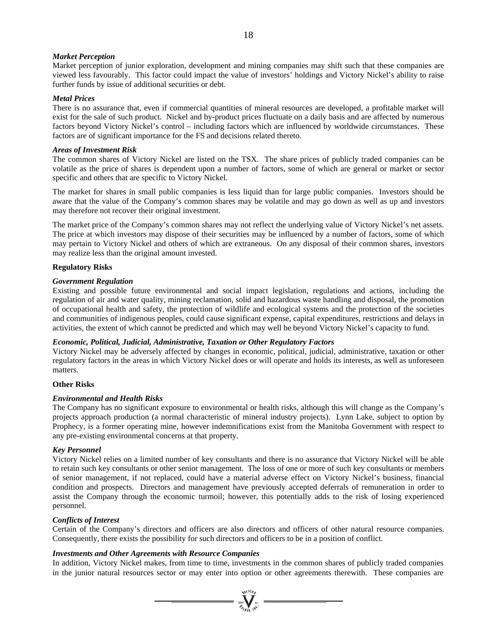# *Market Perception*

Market perception of junior exploration, development and mining companies may shift such that these companies are viewed less favourably. This factor could impact the value of investors' holdings and Victory Nickel's ability to raise further funds by issue of additional securities or debt.

# *Metal Prices*

There is no assurance that, even if commercial quantities of mineral resources are developed, a profitable market will exist for the sale of such product. Nickel and by-product prices fluctuate on a daily basis and are affected by numerous factors beyond Victory Nickel's control – including factors which are influenced by worldwide circumstances. These factors are of significant importance for the FS and decisions related thereto.

# *Areas of Investment Risk*

The common shares of Victory Nickel are listed on the TSX. The share prices of publicly traded companies can be volatile as the price of shares is dependent upon a number of factors, some of which are general or market or sector specific and others that are specific to Victory Nickel.

The market for shares in small public companies is less liquid than for large public companies. Investors should be aware that the value of the Company's common shares may be volatile and may go down as well as up and investors may therefore not recover their original investment.

The market price of the Company's common shares may not reflect the underlying value of Victory Nickel's net assets. The price at which investors may dispose of their securities may be influenced by a number of factors, some of which may pertain to Victory Nickel and others of which are extraneous. On any disposal of their common shares, investors may realize less than the original amount invested.

# **Regulatory Risks**

# *Government Regulation*

Existing and possible future environmental and social impact legislation, regulations and actions, including the regulation of air and water quality, mining reclamation, solid and hazardous waste handling and disposal, the promotion of occupational health and safety, the protection of wildlife and ecological systems and the protection of the societies and communities of indigenous peoples, could cause significant expense, capital expenditures, restrictions and delays in activities, the extent of which cannot be predicted and which may well be beyond Victory Nickel's capacity to fund.

# *Economic, Political, Judicial, Administrative, Taxation or Other Regulatory Factors*

Victory Nickel may be adversely affected by changes in economic, political, judicial, administrative, taxation or other regulatory factors in the areas in which Victory Nickel does or will operate and holds its interests, as well as unforeseen matters.

# **Other Risks**

# *Environmental and Health Risks*

The Company has no significant exposure to environmental or health risks, although this will change as the Company's projects approach production (a normal characteristic of mineral industry projects). Lynn Lake, subject to option by Prophecy, is a former operating mine, however indemnifications exist from the Manitoba Government with respect to any pre-existing environmental concerns at that property.

# *Key Personnel*

Victory Nickel relies on a limited number of key consultants and there is no assurance that Victory Nickel will be able to retain such key consultants or other senior management. The loss of one or more of such key consultants or members of senior management, if not replaced, could have a material adverse effect on Victory Nickel's business, financial condition and prospects. Directors and management have previously accepted deferrals of remuneration in order to assist the Company through the economic turmoil; however, this potentially adds to the risk of losing experienced personnel.

# *Conflicts of Interest*

Certain of the Company's directors and officers are also directors and officers of other natural resource companies. Consequently, there exists the possibility for such directors and officers to be in a position of conflict.

# *Investments and Other Agreements with Resource Companies*

In addition, Victory Nickel makes, from time to time, investments in the common shares of publicly traded companies in the junior natural resources sector or may enter into option or other agreements therewith. These companies are

 $=\frac{1}{2\pi}\sum_{n=1}^{\infty}$  =